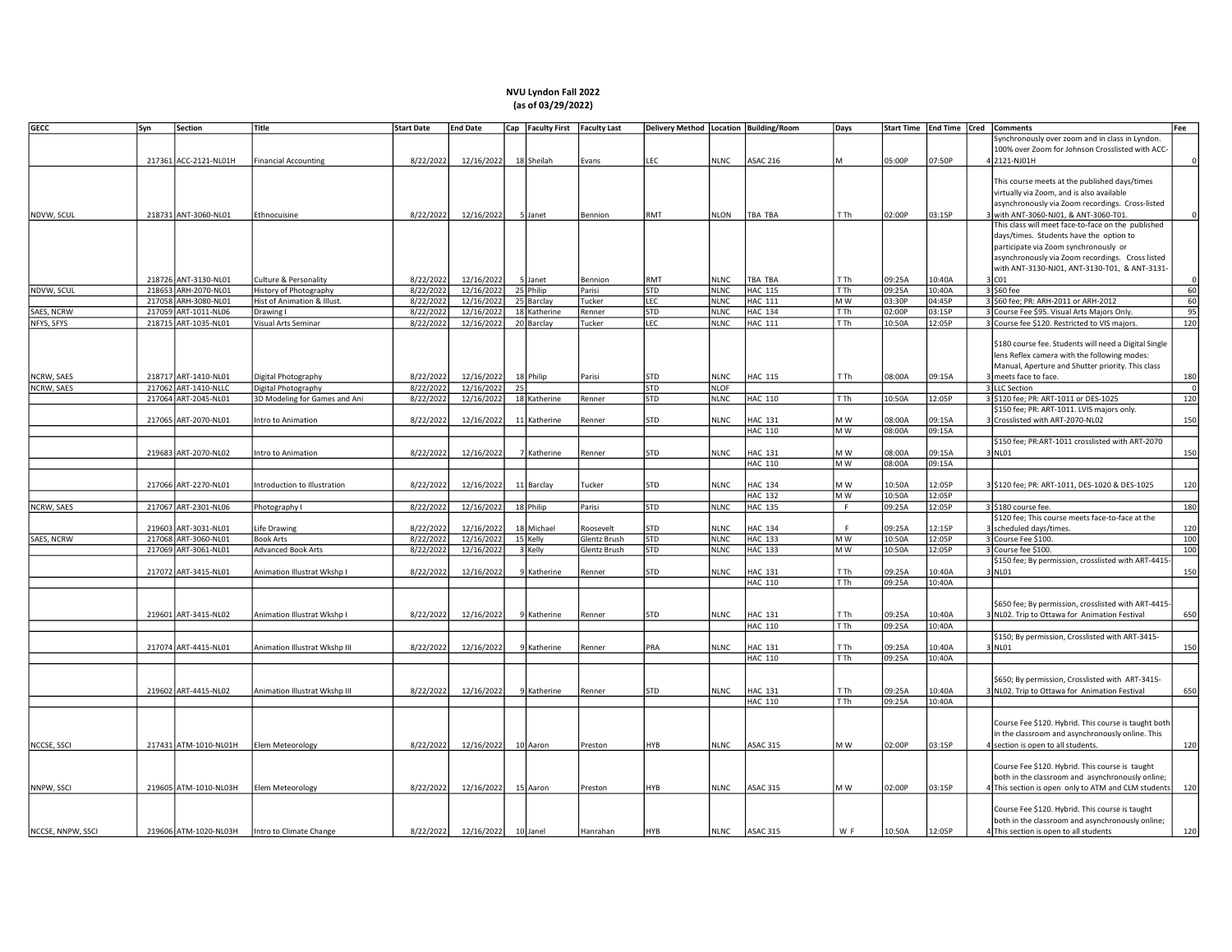## NVU Lyndon Fall 2022 (as of 03/29/2022)

| <b>GECC</b>       | Syn | Section               | Title                         | <b>Start Date</b> | <b>End Date</b> |    | Cap   Faculty First   Faculty Last |              |            |             | Delivery Method   Location   Building/Room | Days        |        |        | Start Time   End Time   Cred   Comments<br>Fee             |
|-------------------|-----|-----------------------|-------------------------------|-------------------|-----------------|----|------------------------------------|--------------|------------|-------------|--------------------------------------------|-------------|--------|--------|------------------------------------------------------------|
|                   |     |                       |                               |                   |                 |    |                                    |              |            |             |                                            |             |        |        | Synchronously over zoom and in class in Lyndon.            |
|                   |     |                       |                               |                   |                 |    |                                    |              |            |             |                                            |             |        |        | 100% over Zoom for Johnson Crosslisted with ACC-           |
|                   |     | 217361 ACC-2121-NL01H | <b>Financial Accounting</b>   | 8/22/2022         | 12/16/2022      |    | 18 Sheilah                         | Evans        | LEC        | <b>NLNC</b> | <b>ASAC 216</b>                            | м           | 05:00P | 07:50P | 12121-NJ01H                                                |
|                   |     |                       |                               |                   |                 |    |                                    |              |            |             |                                            |             |        |        |                                                            |
|                   |     |                       |                               |                   |                 |    |                                    |              |            |             |                                            |             |        |        | This course meets at the published days/times              |
|                   |     |                       |                               |                   |                 |    |                                    |              |            |             |                                            |             |        |        | virtually via Zoom, and is also available                  |
|                   |     |                       |                               |                   |                 |    |                                    |              |            |             |                                            |             |        |        | asynchronously via Zoom recordings. Cross-listed           |
| NDVW, SCUL        |     | 218731 ANT-3060-NL01  | Ethnocuisine                  | 8/22/2022         | 12/16/2022      |    | 5 Janet                            | Bennion      | RMT        | <b>NLON</b> | TBA TBA                                    | TTh         | 02:00P | 03:15P | 3 with ANT-3060-NJ01, & ANT-3060-T01.                      |
|                   |     |                       |                               |                   |                 |    |                                    |              |            |             |                                            |             |        |        | This class will meet face-to-face on the published         |
|                   |     |                       |                               |                   |                 |    |                                    |              |            |             |                                            |             |        |        | days/times. Students have the option to                    |
|                   |     |                       |                               |                   |                 |    |                                    |              |            |             |                                            |             |        |        | participate via Zoom synchronously or                      |
|                   |     |                       |                               |                   |                 |    |                                    |              |            |             |                                            |             |        |        | asynchronously via Zoom recordings. Cross listed           |
|                   |     |                       |                               |                   |                 |    |                                    |              |            |             |                                            |             |        |        | with ANT-3130-NJ01, ANT-3130-T01, & ANT-3131-              |
|                   |     | 218726 ANT-3130-NL01  | Culture & Personality         | 8/22/2022         | 12/16/2022      |    | 5 Janet                            | Bennion      | RMT        | <b>NLNC</b> | TBA TBA                                    | T Th        | 09:25A | 10:40A | $3$ C <sub>O1</sub>                                        |
| NDVW, SCUL        |     | 218653 ARH-2070-NL01  | <b>History of Photography</b> | 8/22/2022         | 12/16/2022      |    | 25 Philip                          | Parisi       | STD        | <b>NLNC</b> | <b>HAC 115</b>                             | T Th        | 09:25A | 10:40A | 60<br>3 \$60 fee                                           |
|                   |     | 217058 ARH-3080-NL01  | Hist of Animation & Illust.   | 8/22/2022         | 12/16/2022      |    | 25 Barclay                         | Tucker       | LEC        | <b>NLNC</b> | <b>HAC 111</b>                             | M W         | 03:30P | 04:45P | 3 \$60 fee; PR: ARH-2011 or ARH-2012<br>60                 |
| SAES, NCRW        |     | 217059 ART-1011-NL06  | Drawing I                     | 8/22/2022         | 12/16/2022      |    | 18 Katherine                       | Renner       | <b>STD</b> | <b>NLNC</b> | <b>HAC 134</b>                             | T Th        | 02:00P | 03:15P | 3 Course Fee \$95. Visual Arts Majors Only.<br>95          |
| NFYS, SFYS        |     | 218715 ART-1035-NL01  | Visual Arts Seminar           | 8/22/2022         | 12/16/2022      |    | 20 Barclay                         | Tucker       | LEC        | <b>NLNC</b> | <b>HAC 111</b>                             | T Th        | 10:50A | 12:05P | 120<br>3 Course fee \$120. Restricted to VIS majors.       |
|                   |     |                       |                               |                   |                 |    |                                    |              |            |             |                                            |             |        |        |                                                            |
|                   |     |                       |                               |                   |                 |    |                                    |              |            |             |                                            |             |        |        | \$180 course fee. Students will need a Digital Single      |
|                   |     |                       |                               |                   |                 |    |                                    |              |            |             |                                            |             |        |        | lens Reflex camera with the following modes:               |
|                   |     |                       |                               |                   |                 |    |                                    |              |            |             |                                            |             |        |        |                                                            |
|                   |     |                       |                               |                   |                 |    |                                    |              |            |             |                                            |             |        |        | Manual, Aperture and Shutter priority. This class          |
| NCRW, SAES        |     | 218717 ART-1410-NL01  | Digital Photography           | 8/22/2022         | 12/16/2022      |    | 18 Philip                          | Parisi       | STD        | <b>NLNC</b> | <b>HAC 115</b>                             | T Th        | 08:00A | 09:15A | 180<br>3 meets face to face.<br>$\overline{0}$             |
| NCRW, SAES        |     | 217062 ART-1410-NLLC  | Digital Photography           | 8/22/2022         | 12/16/2022      | 25 |                                    |              | STD        | <b>NLOF</b> |                                            |             |        |        | 3 LLC Section                                              |
|                   |     | 217064 ART-2045-NL01  | 3D Modeling for Games and Ani | 8/22/2022         | 12/16/2022      |    | 18 Katherine                       | Renner       | STD        | <b>NLNC</b> | HAC 110                                    | T Th        | 10:50A | 12:05P | 3 \$120 fee; PR: ART-1011 or DES-1025<br>120               |
|                   |     |                       |                               |                   |                 |    |                                    |              |            |             |                                            |             |        |        | \$150 fee; PR: ART-1011. LVIS majors only.                 |
|                   |     | 217065 ART-2070-NL01  | Intro to Animation            | 8/22/2022         | 12/16/2022      |    | 11 Katherine                       | Renner       | STD        | <b>NLNC</b> | <b>HAC 131</b>                             | M W         | 08:00A | 09:15A | 3 Crosslisted with ART-2070-NL02<br>150                    |
|                   |     |                       |                               |                   |                 |    |                                    |              |            |             | HAC 110                                    | M W         | A00:80 | 09:15A |                                                            |
|                   |     |                       |                               |                   |                 |    |                                    |              |            |             |                                            |             |        |        | \$150 fee; PR:ART-1011 crosslisted with ART-2070           |
|                   |     | 219683 ART-2070-NL02  | Intro to Animation            | 8/22/2022         | 12/16/2022      |    | 7 Katherine                        | Renner       | STD        | <b>NLNC</b> | <b>HAC 131</b>                             | M W         | 08:00A | 09:15A | 150<br>NL01                                                |
|                   |     |                       |                               |                   |                 |    |                                    |              |            |             | <b>HAC 110</b>                             | M W         | A00:80 | 09:15A |                                                            |
|                   |     |                       |                               |                   |                 |    |                                    |              |            |             |                                            |             |        |        |                                                            |
|                   |     | 217066 ART-2270-NL01  | Introduction to Illustration  | 8/22/2022         | 12/16/2022      |    | 11 Barclay                         | Tucker       | STD        | <b>NLNC</b> | <b>HAC 134</b>                             | M W         | 10:50A | 12:05P | 3 \$120 fee; PR: ART-1011, DES-1020 & DES-1025<br>120      |
|                   |     |                       |                               |                   |                 |    |                                    |              |            |             | <b>HAC 132</b>                             | MW          | 10:50A | 12:05P |                                                            |
| NCRW, SAES        |     | 217067 ART-2301-NL06  | Photography I                 | 8/22/2022         | 12/16/2022      |    | 18 Philip                          | Parisi       | STD        | <b>NLNC</b> | <b>HAC 135</b>                             | $\mathsf F$ | 09:25A | 12:05P | 180<br>3 \$180 course fee.                                 |
|                   |     |                       |                               |                   |                 |    |                                    |              |            |             |                                            |             |        |        | \$120 fee; This course meets face-to-face at the           |
|                   |     | 219603 ART-3031-NL01  | Life Drawing                  | 8/22/2022         | 12/16/2022      |    | 18 Michael                         | Roosevelt    | STD        | <b>NLNC</b> | <b>HAC 134</b>                             | F           | 09:25A | 12:15P | 3 scheduled days/times.<br>120                             |
| SAES, NCRW        |     | 217068 ART-3060-NL01  | <b>Book Arts</b>              | 8/22/2022         | 12/16/2022      |    | 15 Kelly                           | Glentz Brush | <b>STD</b> | <b>NLNC</b> | <b>HAC 133</b>                             | MW          | 10:50A | 12:05P | 3 Course Fee \$100.<br>100                                 |
|                   |     | 217069 ART-3061-NL01  | <b>Advanced Book Arts</b>     | 8/22/2022         | 12/16/2022      |    | 3 Kelly                            | Glentz Brush | <b>STD</b> | <b>NLNC</b> | <b>HAC 133</b>                             | M W         | 10:50A | 12:05P | 100<br>3 Course fee \$100.                                 |
|                   |     |                       |                               |                   |                 |    |                                    |              |            |             |                                            |             |        |        | \$150 fee; By permission, crosslisted with ART-4415-       |
|                   |     | 217072 ART-3415-NL01  | Animation Illustrat Wkshp I   | 8/22/2022         | 12/16/2022      |    | 9 Katherine                        | Renner       | STD        | <b>NLNC</b> | <b>HAC 131</b>                             | T Th        | 09:25A | 10:40A | 150<br>3 NLO1                                              |
|                   |     |                       |                               |                   |                 |    |                                    |              |            |             | <b>HAC 110</b>                             | T Th        | 09:25A | 10:40A |                                                            |
|                   |     |                       |                               |                   |                 |    |                                    |              |            |             |                                            |             |        |        |                                                            |
|                   |     |                       |                               |                   |                 |    |                                    |              |            |             |                                            |             |        |        | \$650 fee; By permission, crosslisted with ART-4415-       |
|                   |     | 219601 ART-3415-NL02  | Animation Illustrat Wkshp I   | 8/22/2022         | 12/16/2022      |    | 9 Katherine                        | Renner       | 5TD        | <b>NLNC</b> | <b>HAC 131</b>                             | T Th        | 09:25A | 10:40A | 650<br>NL02. Trip to Ottawa for Animation Festival         |
|                   |     |                       |                               |                   |                 |    |                                    |              |            |             | <b>HAC 110</b>                             | TTh         | 09:25A | 10:40A |                                                            |
|                   |     |                       |                               |                   |                 |    |                                    |              |            |             |                                            |             |        |        | \$150; By permission, Crosslisted with ART-3415-           |
|                   |     | 217074 ART-4415-NL01  | Animation Illustrat Wkshp III | 8/22/2022         | 12/16/2022      |    | 9 Katherine                        | Renner       | PRA        | <b>NLNC</b> | <b>HAC 131</b>                             | T Th        | 09:25A | 10:40A | 3 NLO1<br>150                                              |
|                   |     |                       |                               |                   |                 |    |                                    |              |            |             | <b>HAC 110</b>                             | T Th        | 09:25A | 10:40A |                                                            |
|                   |     |                       |                               |                   |                 |    |                                    |              |            |             |                                            |             |        |        |                                                            |
|                   |     |                       |                               |                   |                 |    |                                    |              |            |             |                                            |             |        |        | \$650; By permission, Crosslisted with ART-3415-           |
|                   |     | 219602 ART-4415-NL02  | Animation Illustrat Wkshp III | 8/22/2022         | 12/16/2022      |    | 9 Katherine                        | Renner       | STD        | <b>NLNC</b> | <b>HAC 131</b>                             | T Th        | 09:25A | 10:40A | 650<br>NL02. Trip to Ottawa for Animation Festival         |
|                   |     |                       |                               |                   |                 |    |                                    |              |            |             | HAC 110                                    | T Th        | 09:25A | 10:40A |                                                            |
|                   |     |                       |                               |                   |                 |    |                                    |              |            |             |                                            |             |        |        |                                                            |
|                   |     |                       |                               |                   |                 |    |                                    |              |            |             |                                            |             |        |        | Course Fee \$120. Hybrid. This course is taught both       |
|                   |     |                       |                               |                   |                 |    |                                    |              |            |             |                                            |             |        |        | in the classroom and asynchronously online. This           |
| NCCSE, SSCI       |     | 217431 ATM-1010-NL01H |                               | 8/22/2022         | 12/16/2022      |    |                                    | Preston      |            | NLNC        | <b>ASAC 315</b>                            | MW          | 02:00P | 03:15P | 120                                                        |
|                   |     |                       | Elem Meteorology              |                   |                 |    | 10 Aaron                           |              | HYB        |             |                                            |             |        |        | 4 section is open to all students.                         |
|                   |     |                       |                               |                   |                 |    |                                    |              |            |             |                                            |             |        |        |                                                            |
|                   |     |                       |                               |                   |                 |    |                                    |              |            |             |                                            |             |        |        | Course Fee \$120. Hybrid. This course is taught            |
|                   |     |                       |                               |                   |                 |    |                                    |              |            |             |                                            |             |        |        | both in the classroom and asynchronously online;           |
| NNPW, SSCI        |     | 219605 ATM-1010-NL03H | Elem Meteorology              | 8/22/2022         | 12/16/2022      |    | 15 Aaron                           | Preston      | HYB        | <b>NLNC</b> | <b>ASAC 315</b>                            | M W         | 02:00P | 03:15P | 4 This section is open only to ATM and CLM students<br>120 |
|                   |     |                       |                               |                   |                 |    |                                    |              |            |             |                                            |             |        |        |                                                            |
|                   |     |                       |                               |                   |                 |    |                                    |              |            |             |                                            |             |        |        | Course Fee \$120. Hybrid. This course is taught            |
|                   |     |                       |                               |                   |                 |    |                                    |              |            |             |                                            |             |        |        | both in the classroom and asynchronously online;           |
| NCCSE, NNPW, SSCI |     | 219606 ATM-1020-NL03H | Intro to Climate Change       | 8/22/2022         | 12/16/2022      |    | 10 Janel                           | Hanrahan     | HYB        | <b>NLNC</b> | ASAC 315                                   | W F         | 10:50A | 12:05P | 4 This section is open to all students<br>120              |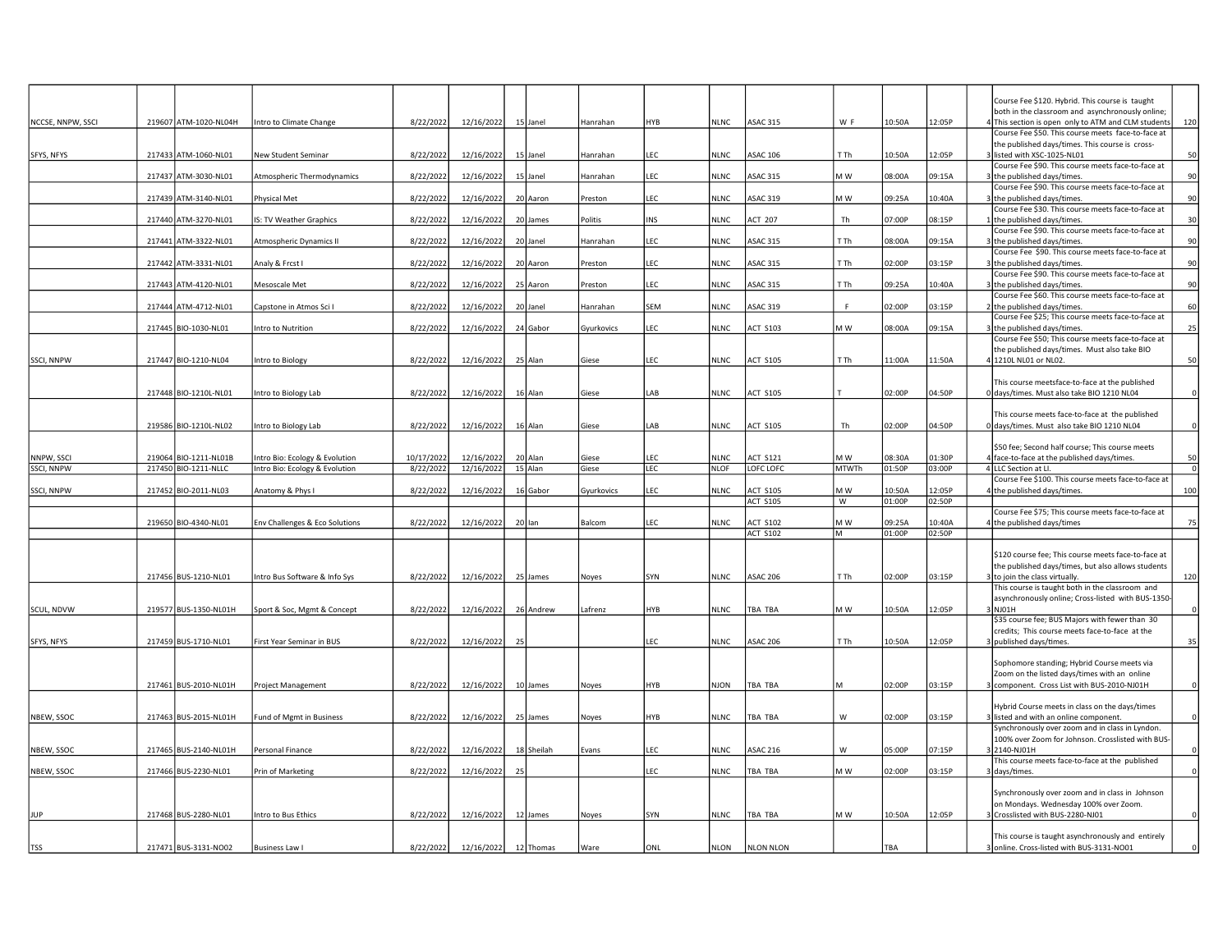|                   |                       |                                |            |            |    |            |            |            |             |                                    |              |                  |                  | Course Fee \$120. Hybrid. This course is taught                                                       |
|-------------------|-----------------------|--------------------------------|------------|------------|----|------------|------------|------------|-------------|------------------------------------|--------------|------------------|------------------|-------------------------------------------------------------------------------------------------------|
|                   |                       |                                |            |            |    |            |            |            |             |                                    |              |                  |                  | both in the classroom and asynchronously online;                                                      |
| NCCSE, NNPW, SSCI | 219607 ATM-1020-NL04H | Intro to Climate Change        | 8/22/2022  | 12/16/2022 |    | 15 Janel   | Hanrahan   | HYB        | <b>NLNC</b> | <b>ASAC 315</b>                    | W F          | 10:50A           | 12:05P           | 4 This section is open only to ATM and CLM students<br>120                                            |
|                   |                       |                                |            |            |    |            |            |            |             |                                    |              |                  |                  | Course Fee \$50. This course meets face-to-face at                                                    |
|                   |                       |                                |            |            |    |            |            |            |             |                                    |              |                  |                  | the published days/times. This course is cross-                                                       |
| SFYS, NFYS        | 217433 ATM-1060-NL01  | <b>New Student Seminar</b>     | 8/22/2022  | 12/16/2022 |    | 15 Janel   | Hanrahan   | EC         | <b>NLNC</b> | <b>ASAC 106</b>                    | T Th         | 10:50A           | 12:05P           | listed with XSC-1025-NL01<br>50                                                                       |
|                   | 217437 ATM-3030-NL01  |                                |            | 12/16/2022 |    | 15 Janel   | Hanrahan   | EC.        | <b>NLNC</b> | <b>ASAC 315</b>                    | M W          | 08:00A           | 09:15A           | Course Fee \$90. This course meets face-to-face at<br>the published days/times.<br>90                 |
|                   |                       | Atmospheric Thermodynamics     | 8/22/2022  |            |    |            |            |            |             |                                    |              |                  |                  | Course Fee \$90. This course meets face-to-face at                                                    |
|                   | 217439 ATM-3140-NL01  | Physical Met                   | 8/22/2022  | 12/16/2022 |    | 20 Aaron   | Preston    | EC         | <b>NLNC</b> | <b>ASAC 319</b>                    | M W          | 09:25A           | 10:40A           | the published days/times.<br>90                                                                       |
|                   |                       |                                |            |            |    |            |            |            |             |                                    |              |                  |                  | Course Fee \$30. This course meets face-to-face at                                                    |
|                   | 217440 ATM-3270-NL01  | IS: TV Weather Graphics        | 8/22/2022  | 12/16/2022 |    | 20 James   | Politis    | <b>INS</b> | <b>NLNC</b> | <b>ACT 207</b>                     | Th           | 07:00P           | 08:15P           | 1 the published days/times.<br>30                                                                     |
|                   |                       |                                |            |            |    |            |            |            |             |                                    |              |                  |                  | Course Fee \$90. This course meets face-to-face at                                                    |
|                   | 217441 ATM-3322-NL01  | Atmospheric Dynamics II        | 8/22/2022  | 12/16/2022 |    | 20 Janel   | Hanrahan   | LEC        | <b>NLNC</b> | <b>ASAC 315</b>                    | T Th         | 08:00A           | 09:15A           | 3 the published days/times.<br>90                                                                     |
|                   |                       |                                |            |            |    |            |            |            |             |                                    |              |                  |                  | Course Fee \$90. This course meets face-to-face at                                                    |
|                   | 217442 ATM-3331-NL01  | Analy & Frcst I                | 8/22/2022  | 12/16/2022 |    | 20 Aaron   | Preston    | EC.        | <b>NLNC</b> | <b>ASAC 315</b>                    | T Th         | 02:00P           | 03:15P           | the published days/times.<br>90                                                                       |
|                   |                       |                                |            |            |    |            |            | LEC        |             |                                    |              |                  |                  | Course Fee \$90. This course meets face-to-face at                                                    |
|                   | 217443 ATM-4120-NL01  | Mesoscale Met                  | 8/22/2022  | 12/16/2022 |    | 25 Aaron   | Preston    |            | <b>NLNC</b> | <b>ASAC 315</b>                    | T Th         | 09:25A           | 10:40A           | the published days/times.<br>90<br>Course Fee \$60. This course meets face-to-face at                 |
|                   | 217444 ATM-4712-NL01  | Capstone in Atmos Sci I        | 8/22/2022  | 12/16/2022 |    | 20 Janel   | Hanrahan   | SEM        | <b>NLNC</b> | <b>ASAC 319</b>                    | F            | 02:00P           | 03:15P           | 2 the published days/times.<br>60                                                                     |
|                   |                       |                                |            |            |    |            |            |            |             |                                    |              |                  |                  | Course Fee \$25; This course meets face-to-face at                                                    |
|                   | 217445 BIO-1030-NL01  | Intro to Nutrition             | 8/22/2022  | 12/16/2022 |    | 24 Gabor   | Gyurkovics | EC.        | <b>NLNC</b> | <b>ACT S103</b>                    | M W          | A00:80           | 09:15A           | 25<br>3 the published days/times.                                                                     |
|                   |                       |                                |            |            |    |            |            |            |             |                                    |              |                  |                  | Course Fee \$50; This course meets face-to-face at                                                    |
|                   |                       |                                |            |            |    |            |            |            |             |                                    |              |                  |                  | the published days/times. Must also take BIO                                                          |
| SSCI, NNPW        | 217447 BIO-1210-NL04  | Intro to Biology               | 8/22/2022  | 12/16/2022 |    | 25 Alan    | Giese      | EC         | <b>NLNC</b> | <b>ACT S105</b>                    | T Th         | 11:00A           | 11:50A           | 4 1210L NL01 or NL02.<br>50                                                                           |
|                   |                       |                                |            |            |    |            |            |            |             |                                    |              |                  |                  |                                                                                                       |
|                   |                       |                                |            |            |    |            |            |            |             |                                    |              |                  |                  | This course meetsface-to-face at the published                                                        |
|                   | 217448 BIO-1210L-NL01 | Intro to Biology Lab           | 8/22/2022  | 12/16/2022 |    | 16 Alan    | Giese      | AB         | <b>NLNC</b> | <b>ACT S105</b>                    |              | 02:00P           | 04:50P           | 0 days/times. Must also take BIO 1210 NL04<br>$\Omega$                                                |
|                   |                       |                                |            |            |    |            |            |            |             |                                    |              |                  |                  | This course meets face-to-face at the published                                                       |
|                   | 219586 BIO-1210L-NL02 | Intro to Biology Lab           | 8/22/2022  | 12/16/2022 |    | 16 Alan    | Giese      | LAB        | <b>NLNC</b> | <b>ACT S105</b>                    | Th           | 02:00P           | 04:50P           | 0 days/times. Must also take BIO 1210 NL04<br>$\mathbf 0$                                             |
|                   |                       |                                |            |            |    |            |            |            |             |                                    |              |                  |                  |                                                                                                       |
|                   |                       |                                |            |            |    |            |            |            |             |                                    |              |                  |                  | \$50 fee; Second half course; This course meets                                                       |
| NNPW, SSCI        | 219064 BIO-1211-NL01B | Intro Bio: Ecology & Evolution | 10/17/2022 | 12/16/2022 |    | 20 Alan    | Giese      | <b>LEC</b> | <b>NLNC</b> | <b>ACT S121</b>                    | M W          | 08:30A           | 01:30P           | face-to-face at the published days/times.<br>50                                                       |
| SSCI, NNPW        | 217450 BIO-1211-NLLC  | Intro Bio: Ecology & Evolution | 8/22/2022  | 12/16/2022 |    | 15 Alan    | Giese      | LEC        | <b>NLOF</b> | LOFC LOFC                          | <b>MTWTh</b> | 01:50P           | 03:00P           | 4 LLC Section at LI.<br>$\mathbf 0$                                                                   |
|                   |                       |                                |            |            |    |            |            |            |             |                                    |              |                  |                  | Course Fee \$100. This course meets face-to-face at                                                   |
| SSCI, NNPW        | 217452 BIO-2011-NL03  | Anatomy & Phys I               | 8/22/2022  | 12/16/2022 |    | 16 Gabor   | Gyurkovics | <b>LEC</b> | <b>NLNC</b> | <b>ACT S105</b><br><b>ACT S105</b> | M W          | 10:50A<br>01:00P | 12:05P<br>02:50P | 100<br>the published days/times.                                                                      |
|                   |                       |                                |            |            |    |            |            |            |             |                                    | W            |                  |                  | Course Fee \$75; This course meets face-to-face at                                                    |
|                   | 219650 BIO-4340-NL01  | Env Challenges & Eco Solutions | 8/22/2022  | 12/16/2022 |    | 20 lan     | Balcom     | LEC        | <b>NLNC</b> | <b>ACT S102</b>                    | M W          | 09:25A           | 10:40A           | the published days/times<br>75                                                                        |
|                   |                       |                                |            |            |    |            |            |            |             | <b>ACT S102</b>                    | M            | 01:00P           | 02:50P           |                                                                                                       |
|                   |                       |                                |            |            |    |            |            |            |             |                                    |              |                  |                  |                                                                                                       |
|                   |                       |                                |            |            |    |            |            |            |             |                                    |              |                  |                  | \$120 course fee; This course meets face-to-face at                                                   |
|                   |                       |                                |            |            |    |            |            |            |             |                                    |              |                  |                  | the published days/times, but also allows students                                                    |
|                   | 217456 BUS-1210-NL01  | Intro Bus Software & Info Sys  | 8/22/2022  | 12/16/2022 |    | 25 James   | Noyes      | SYN        | <b>NLNC</b> | <b>ASAC 206</b>                    | T Th         | 02:00P           | 03:15P           | 3 to join the class virtually.<br>120                                                                 |
|                   |                       |                                |            |            |    |            |            |            |             |                                    |              |                  |                  | This course is taught both in the classroom and                                                       |
|                   |                       |                                |            |            |    |            |            |            |             |                                    |              |                  |                  | asynchronously online; Cross-listed with BUS-1350-                                                    |
| SCUL, NDVW        | 219577 BUS-1350-NL01H | Sport & Soc, Mgmt & Concept    | 8/22/2022  | 12/16/2022 |    | 26 Andrew  | afrenz     | HYB        | <b>NLNC</b> | <b>TBA TBA</b>                     | M W          | 10:50A           | 12:05P           | 3 INJO1H<br>\$35 course fee; BUS Majors with fewer than 30                                            |
|                   |                       |                                |            |            |    |            |            |            |             |                                    |              |                  |                  | credits; This course meets face-to-face at the                                                        |
| SFYS, NFYS        | 217459 BUS-1710-NL01  | First Year Seminar in BUS      | 8/22/2022  | 12/16/2022 | 25 |            |            | LEC        | <b>NLNC</b> | <b>ASAC 206</b>                    | T Th         | 10:50A           | 12:05P           | 35<br>3 published days/times.                                                                         |
|                   |                       |                                |            |            |    |            |            |            |             |                                    |              |                  |                  |                                                                                                       |
|                   |                       |                                |            |            |    |            |            |            |             |                                    |              |                  |                  | Sophomore standing; Hybrid Course meets via                                                           |
|                   |                       |                                |            |            |    |            |            |            |             |                                    |              |                  |                  | Zoom on the listed days/times with an online                                                          |
|                   | 217461 BUS-2010-NL01H | <b>Project Management</b>      | 8/22/2022  | 12/16/2022 |    | 10 James   | Noyes      | HYB        | NJON        | TBA TBA                            | м            | 02:00P           | 03:15P           | 3 component. Cross List with BUS-2010-NJ01H<br>$\mathbf 0$                                            |
|                   |                       |                                |            |            |    |            |            |            |             |                                    |              |                  |                  |                                                                                                       |
|                   |                       |                                |            |            |    |            |            |            |             |                                    |              |                  |                  | Hybrid Course meets in class on the days/times                                                        |
| NBEW, SSOC        | 217463 BUS-2015-NL01H | Fund of Mgmt in Business       | 8/22/2022  | 12/16/2022 |    | 25 James   | Noyes      | HYB        | <b>NLNC</b> | TBA TBA                            | W            | 02:00P           | 03:15P           | 3 listed and with an online component.<br>$\Omega$<br>Synchronously over zoom and in class in Lyndon. |
|                   |                       |                                |            |            |    |            |            |            |             |                                    |              |                  |                  | 100% over Zoom for Johnson. Crosslisted with BUS-                                                     |
| NBEW, SSOC        | 217465 BUS-2140-NL01H | Personal Finance               | 8/22/2022  | 12/16/2022 |    | 18 Sheilah | Evans      | LEC        | <b>NLNC</b> | <b>ASAC 216</b>                    | W            | 05:00P           | 07:15P           | 2140-NJ01H<br>$\mathbf 0$                                                                             |
|                   |                       |                                |            |            |    |            |            |            |             |                                    |              |                  |                  | This course meets face-to-face at the published                                                       |
| NBEW, SSOC        | 217466 BUS-2230-NL01  | Prin of Marketing              | 8/22/2022  | 12/16/2022 |    |            |            | EC         | <b>NLNC</b> | TBA TBA                            | M W          | 02:00P           | 03:15P           | days/times.                                                                                           |
|                   |                       |                                |            |            |    |            |            |            |             |                                    |              |                  |                  |                                                                                                       |
|                   |                       |                                |            |            |    |            |            |            |             |                                    |              |                  |                  | Synchronously over zoom and in class in Johnson                                                       |
|                   |                       |                                |            |            |    |            |            |            |             |                                    |              |                  |                  | on Mondays. Wednesday 100% over Zoom.                                                                 |
| JUP               | 217468 BUS-2280-NL01  | Intro to Bus Ethics            | 8/22/2022  | 12/16/2022 |    | 12 James   | Noyes      | SYN        | <b>NLNC</b> | TBA TBA                            | M W          | 10:50A           | 12:05P           | Crosslisted with BUS-2280-NJ01<br>$\Omega$                                                            |
|                   |                       |                                |            |            |    |            |            |            |             |                                    |              |                  |                  | This course is taught asynchronously and entirely                                                     |
| TSS               | 217471 BUS-3131-NO02  | Business Law I                 | 8/22/2022  | 12/16/2022 |    | 12 Thomas  | Ware       | ONL        | <b>NLON</b> | <b>NLON NLON</b>                   |              | TBA              |                  | 3 online. Cross-listed with BUS-3131-NO01<br>$\Omega$                                                 |
|                   |                       |                                |            |            |    |            |            |            |             |                                    |              |                  |                  |                                                                                                       |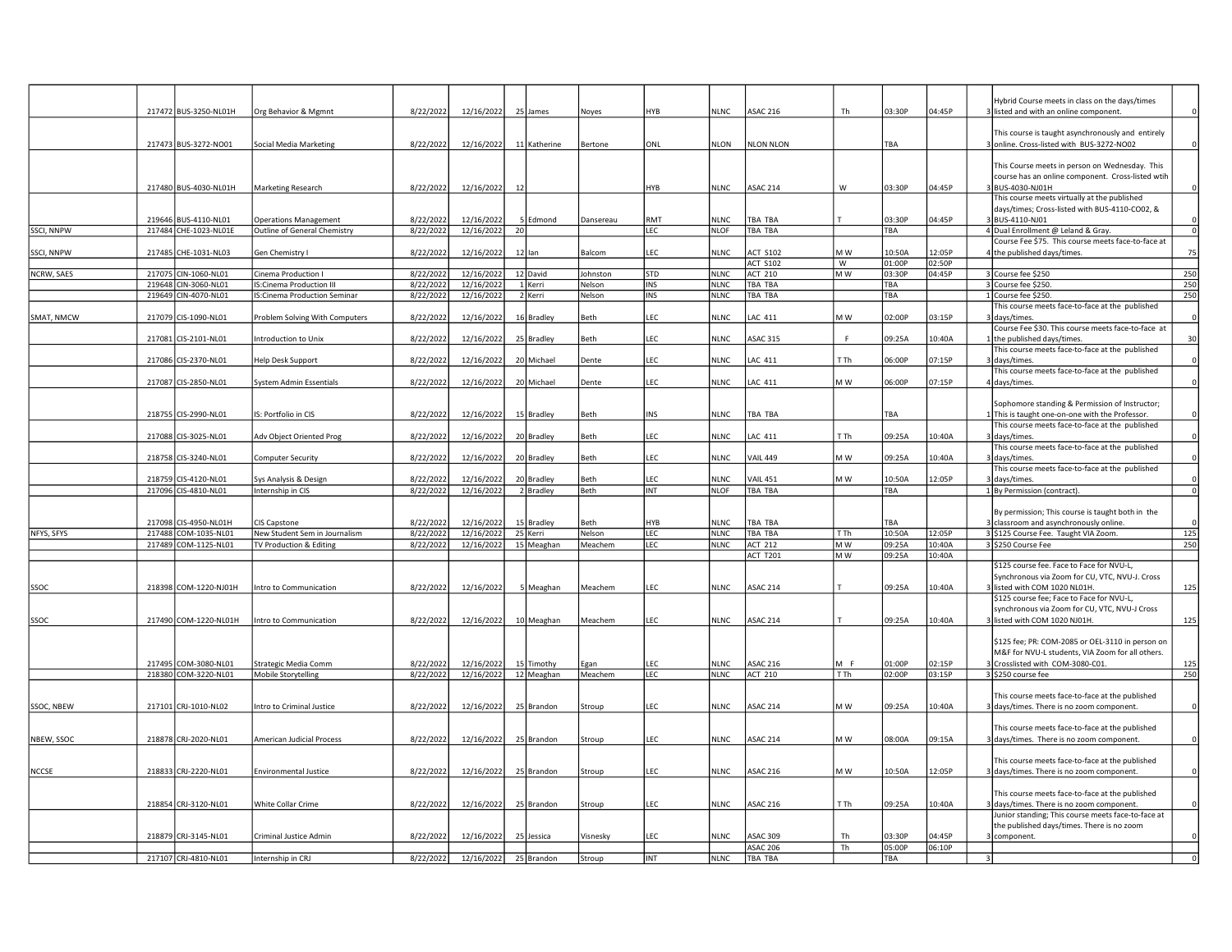|              |                                              |                                                                 |                        |                          |    |                    |                  |                   |                     |                           |           |            |        | lybrid Course meets in class on the days/times                                                   |                          |
|--------------|----------------------------------------------|-----------------------------------------------------------------|------------------------|--------------------------|----|--------------------|------------------|-------------------|---------------------|---------------------------|-----------|------------|--------|--------------------------------------------------------------------------------------------------|--------------------------|
|              | 217472 BUS-3250-NL01H                        | Org Behavior & Mgmnt                                            | 8/22/2022              | 12/16/2022               |    | 25 James           | <u>Noyes</u>     | HYB               | <b>NLNC</b>         | <b>ASAC 216</b>           | Th        | 03:30P     | 04:45P | 3 listed and with an online component.                                                           |                          |
|              |                                              |                                                                 |                        |                          |    |                    |                  |                   |                     |                           |           |            |        |                                                                                                  |                          |
|              |                                              |                                                                 |                        |                          |    |                    |                  |                   |                     |                           |           |            |        | This course is taught asynchronously and entirely                                                |                          |
|              | 217473 BUS-3272-NO01                         | Social Media Marketing                                          | 8/22/2022              | 12/16/2022               |    | 11 Katherine       | Bertone          | ONL               | <b>NLON</b>         | <b>NLON NLON</b>          |           | TBA        |        | 3 online. Cross-listed with BUS-3272-NO02                                                        | $\circ$                  |
|              |                                              |                                                                 |                        |                          |    |                    |                  |                   |                     |                           |           |            |        | This Course meets in person on Wednesday. This                                                   |                          |
|              |                                              |                                                                 |                        |                          |    |                    |                  |                   |                     |                           |           |            |        | course has an online component. Cross-listed wtih                                                |                          |
|              | 217480 BUS-4030-NL01H                        | Marketing Research                                              | 8/22/2022              | 12/16/2022               | 12 |                    |                  | HYB               | <b>NLNC</b>         | ASAC 214                  | W         | 03:30P     | 04:45P | BUS-4030-NJ01H                                                                                   | $\Omega$                 |
|              |                                              |                                                                 |                        |                          |    |                    |                  |                   |                     |                           |           |            |        | This course meets virtually at the published                                                     |                          |
|              |                                              |                                                                 |                        |                          |    |                    |                  |                   |                     |                           |           |            |        | days/times; Cross-listed with BUS-4110-CO02, &                                                   |                          |
|              | 219646 BUS-4110-NL01                         | <b>Operations Management</b>                                    | 8/22/2022              | 12/16/2022               |    | 5 Edmond           | Dansereau        | RMT               | NI <sub>NC</sub>    | <b>TBA TBA</b>            |           | 03:30P     | 04:45P | BUS-4110-NJ01                                                                                    | $\Omega$                 |
| SSCI, NNPW   | 217484 CHE-1023-NL01E                        | Outline of General Chemistry                                    | 8/22/2022              | 12/16/2022               | 20 |                    |                  | LEC               | <b>NLOF</b>         | <b>TBA TBA</b>            |           | TBA        |        | 4 Dual Enrollment @ Leland & Gray.                                                               | $\overline{0}$           |
|              |                                              |                                                                 |                        |                          |    |                    |                  |                   |                     |                           |           |            |        | Course Fee \$75. This course meets face-to-face at                                               |                          |
| SSCI, NNPW   | 217485 CHE-1031-NL03                         | Gen Chemistry I                                                 | 8/22/2022              | 12/16/2022               |    | 12 lan             | Balcom           | LEC               | <b>NLNC</b>         | <b>ACT S102</b>           | M W       | 10:50A     | 12:05P | 4 the published days/times.                                                                      | 75                       |
|              |                                              |                                                                 |                        |                          |    |                    |                  |                   |                     | <b>ACT S102</b>           | W         | 01:00P     | 02:50P |                                                                                                  |                          |
| NCRW, SAES   | 217075 CIN-1060-NL01                         | Cinema Production I                                             | 8/22/2022              | 12/16/2022               |    | 12 David           | Johnston         | STD               | <b>NLNC</b>         | <b>ACT 210</b>            | M W       | 03:30P     | 04:45P | 3 Course fee \$250                                                                               | 250                      |
|              | 219648 CIN-3060-NL01<br>219649 CIN-4070-NL01 | <b>IS:Cinema Production III</b><br>IS:Cinema Production Seminar | 8/22/2022<br>8/22/2022 | 12/16/2022<br>12/16/2022 |    | 1 Kerri<br>2 Kerri | Nelson<br>Nelson | INS<br><b>INS</b> | NLNC<br><b>NLNC</b> | <b>TBA TBA</b><br>TBA TBA |           | TBA<br>TBA |        | 3 Course fee \$250.<br>1 Course fee \$250.                                                       | 250<br>250               |
|              |                                              |                                                                 |                        |                          |    |                    |                  |                   |                     |                           |           |            |        | This course meets face-to-face at the published                                                  |                          |
| SMAT, NMCW   | 217079 CIS-1090-NL01                         | Problem Solving With Computers                                  | 8/22/2022              | 12/16/2022               |    | 16 Bradley         | Beth             | LEC               | NLNC                | LAC 411                   | M W       | 02:00P     | 03:15P | 3 days/times                                                                                     | $\Omega$                 |
|              |                                              |                                                                 |                        |                          |    |                    |                  |                   |                     |                           |           |            |        | Course Fee \$30. This course meets face-to-face at                                               |                          |
|              | 217081 CIS-2101-NL01                         | Introduction to Unix                                            | 8/22/2022              | 12/16/2022               |    | 25 Bradley         | Beth             | LEC               | <b>NLNC</b>         | <b>ASAC 315</b>           | F.        | 09:25A     | 10:40A | the published days/times.                                                                        | 30                       |
|              |                                              |                                                                 |                        |                          |    |                    |                  |                   |                     |                           |           |            |        | This course meets face-to-face at the published                                                  |                          |
|              | 217086 CIS-2370-NL01                         | Help Desk Support                                               | 8/22/2022              | 12/16/2022               |    | 20 Michael         | Dente            | LEC               | <b>NLNC</b>         | LAC 411                   | T Th      | 06:00P     | 07:15P | days/times                                                                                       |                          |
|              |                                              |                                                                 |                        |                          |    |                    |                  |                   |                     |                           |           |            |        | This course meets face-to-face at the published                                                  |                          |
|              | 217087 CIS-2850-NL01                         | System Admin Essentials                                         | 8/22/2022              | 12/16/2022               |    | 20 Michael         | Dente            | LEC               | <b>NLNC</b>         | LAC 411                   | M W       | 06:00P     | 07:15P | 4 days/times.                                                                                    |                          |
|              |                                              |                                                                 |                        |                          |    |                    |                  |                   |                     |                           |           |            |        |                                                                                                  |                          |
|              |                                              |                                                                 |                        |                          |    |                    |                  |                   |                     |                           |           |            |        | Sophomore standing & Permission of Instructor;                                                   |                          |
|              | 218755 CIS-2990-NL01                         | IS: Portfolio in CIS                                            | 8/22/2022              | 12/16/2022               |    | 15 Bradley         | Beth             | INS               | <b>NLNC</b>         | <b>TBA TBA</b>            |           | TBA        |        | This is taught one-on-one with the Professor.<br>This course meets face-to-face at the published | $\Omega$                 |
|              | 217088 CIS-3025-NL01                         | Adv Object Oriented Prog                                        | 8/22/2022              | 12/16/2022               |    | 20 Bradley         | <b>Beth</b>      | LEC               | <b>NLNC</b>         | <b>LAC 411</b>            | T Th      | 09:25A     | 10:40A | 3 days/times                                                                                     |                          |
|              |                                              |                                                                 |                        |                          |    |                    |                  |                   |                     |                           |           |            |        | This course meets face-to-face at the published                                                  |                          |
|              | 218758 CIS-3240-NL01                         | Computer Security                                               | 8/22/2022              | 12/16/2022               |    | 20 Bradley         | Beth             | LEC               | <b>NLNC</b>         | <b>VAIL 449</b>           | M W       | 09:25A     | 10:40A | 3 days/times.                                                                                    | $\circ$                  |
|              |                                              |                                                                 |                        |                          |    |                    |                  |                   |                     |                           |           |            |        | This course meets face-to-face at the published                                                  |                          |
|              | 218759 CIS-4120-NL01                         | Sys Analysis & Design                                           | 8/22/2022              | 12/16/2022               |    | 20 Bradley         | Beth             | LEC               | <b>NLNC</b>         | <b>VAIL 451</b>           | M W       | 10:50A     | 12:05P | days/times.                                                                                      | $\Omega$                 |
|              |                                              |                                                                 |                        |                          |    |                    |                  |                   |                     |                           |           |            |        |                                                                                                  |                          |
|              | 217096 CIS-4810-NL01                         | Internship in CIS                                               | 8/22/2022              | 12/16/2022               |    | 2 Bradley          | Beth             | INT               | <b>NLOF</b>         | TBA TBA                   |           | TBA        |        | 1 By Permission (contract).                                                                      |                          |
|              |                                              |                                                                 |                        |                          |    |                    |                  |                   |                     |                           |           |            |        |                                                                                                  |                          |
|              |                                              |                                                                 |                        |                          |    |                    |                  |                   |                     |                           |           |            |        | By permission; This course is taught both in the                                                 | $\overline{\phantom{0}}$ |
|              | 217098 CIS-4950-NL01H                        | CIS Capstone                                                    | 8/22/2022              | 12/16/2022               |    | 15 Bradley         | Beth             | HYB               | <b>NLNC</b>         | <b>TBA TBA</b>            |           | <b>TRA</b> |        | 3 classroom and asynchronously online.                                                           |                          |
| NFYS, SFYS   | 217488 COM-1035-NL01                         | New Student Sem in Journalism                                   | 8/22/2022              | 12/16/2022               |    | 25 Kerri           | Nelson           | LEC               | <b>NLNC</b>         | <b>TBA TBA</b>            | T Th      | 10:50A     | 12:05P | 3 \$125 Course Fee. Taught VIA Zoom.                                                             |                          |
|              | 217489 COM-1125-NL01                         | TV Production & Editing                                         | 8/22/2022              | 12/16/2022               |    | 15 Meaghan         | Meachem          | LEC               | <b>NLNC</b>         | <b>ACT 212</b>            | M W       | 09:25A     | 10:40A | 3 \$250 Course Fee                                                                               | 125<br>250               |
|              |                                              |                                                                 |                        |                          |    |                    |                  |                   |                     | <b>ACT T201</b>           | M W       | 09:25A     | 10:40A |                                                                                                  |                          |
|              |                                              |                                                                 |                        |                          |    |                    |                  |                   |                     |                           |           |            |        | \$125 course fee. Face to Face for NVU-L,                                                        |                          |
|              |                                              |                                                                 |                        |                          |    |                    |                  |                   |                     |                           |           |            |        | Synchronous via Zoom for CU, VTC, NVU-J. Cross                                                   |                          |
| SSOC         | 218398 COM-1220-NJ01H                        | Intro to Communication                                          | 8/22/2022              | 12/16/2022               |    | 5 Meaghan          | Meachem          | EC                | <b>NLNC</b>         | <b>ASAC 214</b>           |           | 09:25A     | 10:40A | listed with COM 1020 NL01H.<br>\$125 course fee; Face to Face for NVU-L,                         |                          |
|              |                                              |                                                                 |                        |                          |    |                    |                  |                   |                     |                           |           |            |        | synchronous via Zoom for CU, VTC, NVU-J Cross                                                    |                          |
| SSOC         | 217490 COM-1220-NL01H                        | Intro to Communication                                          | 8/22/2022              | 12/16/2022               |    | 10 Meaghan         | Meachem          | LEC               | <b>NLNC</b>         | <b>ASAC 214</b>           |           | 09:25A     | 10:40A | 3 listed with COM 1020 NJ01H.                                                                    |                          |
|              |                                              |                                                                 |                        |                          |    |                    |                  |                   |                     |                           |           |            |        |                                                                                                  |                          |
|              |                                              |                                                                 |                        |                          |    |                    |                  |                   |                     |                           |           |            |        | \$125 fee; PR: COM-2085 or OEL-3110 in person on                                                 | 125<br>125               |
|              |                                              |                                                                 |                        |                          |    |                    |                  |                   |                     |                           |           |            |        | M&F for NVU-L students, VIA Zoom for all others.                                                 |                          |
|              | 217495 COM-3080-NL01                         | Strategic Media Comm                                            | 8/22/2022              | 12/16/2022               |    | 15 Timothy         | Egan             | EC                | <b>NLNC</b>         | <b>ASAC 216</b>           | M F       | 01:00P     | 02:15P | Crosslisted with COM-3080-C01.                                                                   | 125                      |
|              | 218380 COM-3220-NL01                         | Mobile Storytelling                                             | 8/22/2022              | 12/16/2022               |    | 12 Meaghan         | Meachem          | LEC               | <b>NLNC</b>         | <b>ACT 210</b>            | T Th      | 02:00P     | 03:15P | 3 \$250 course fee                                                                               | 250                      |
|              |                                              |                                                                 |                        |                          |    |                    |                  |                   |                     |                           |           |            |        |                                                                                                  |                          |
|              |                                              |                                                                 |                        |                          |    |                    |                  |                   |                     |                           |           |            |        | This course meets face-to-face at the published                                                  | $\Omega$                 |
| SSOC, NBEW   | 217101 CRJ-1010-NL02                         | Intro to Criminal Justice                                       | 8/22/2022              | 12/16/2022               |    | 25 Brandon         | Stroup           | LEC               | NLNC                | ASAC 214                  | M W       | 09:25A     | 10:40A | 3 days/times. There is no zoom component.                                                        |                          |
|              |                                              |                                                                 |                        |                          |    |                    |                  |                   |                     |                           |           |            |        | This course meets face-to-face at the published                                                  |                          |
| NBEW, SSOC   | 218878 CRJ-2020-NL01                         | American Judicial Process                                       | 8/22/2022              | 12/16/2022               |    | 25 Brandon         | Stroup           | LEC               | <b>NLNC</b>         | <b>ASAC 214</b>           | M W       | A00:80     | 09:15A | 3 days/times. There is no zoom component.                                                        | $\Omega$                 |
|              |                                              |                                                                 |                        |                          |    |                    |                  |                   |                     |                           |           |            |        |                                                                                                  |                          |
|              |                                              |                                                                 |                        |                          |    |                    |                  |                   |                     |                           |           |            |        | This course meets face-to-face at the published                                                  |                          |
| <b>NCCSE</b> | 218833 CRJ-2220-NL01                         | <b>Environmental Justice</b>                                    | 8/22/2022              | 12/16/2022               |    | 25 Brandon         | Stroup           | LEC               | <b>NLNC</b>         | <b>ASAC 216</b>           | M W       | 10:50A     | 12:05P | 3 days/times. There is no zoom component.                                                        |                          |
|              |                                              |                                                                 |                        |                          |    |                    |                  |                   |                     |                           |           |            |        |                                                                                                  | $\Omega$                 |
|              |                                              |                                                                 |                        |                          |    |                    |                  |                   |                     |                           |           |            |        | This course meets face-to-face at the published                                                  |                          |
|              | 218854 CRJ-3120-NL01                         | White Collar Crime                                              | 8/22/2022              | 12/16/2022               |    | 25 Brandon         | Stroup           | LEC               | <b>NLNC</b>         | <b>ASAC 216</b>           | T Th      | 09:25A     | 10:40A | 3 days/times. There is no zoom component.                                                        | $\Omega$                 |
|              |                                              |                                                                 |                        |                          |    |                    |                  |                   |                     |                           |           |            |        | Junior standing; This course meets face-to-face at<br>the published days/times. There is no zoom |                          |
|              | 218879 CRJ-3145-NL01                         | Criminal Justice Admin                                          | 8/22/2022              | 12/16/2022               |    | 25 Jessica         | <b>Visnesky</b>  | LEC               | <b>NLNC</b>         | <b>ASAC 309</b>           | <b>Th</b> | 03:30P     | 04:45P | 3 component.                                                                                     |                          |
|              |                                              |                                                                 |                        |                          |    |                    |                  |                   |                     | <b>ASAC 206</b>           | Th.       | 05:00P     | 06:10P |                                                                                                  |                          |
|              | 217107 CRJ-4810-NL01                         | Internship in CRJ                                               | 8/22/2022              | 12/16/2022               |    | 25 Brandon         | Stroup           | INT               | <b>NLNC</b>         | <b>TBA TBA</b>            |           | <b>TBA</b> |        |                                                                                                  | $\Omega$                 |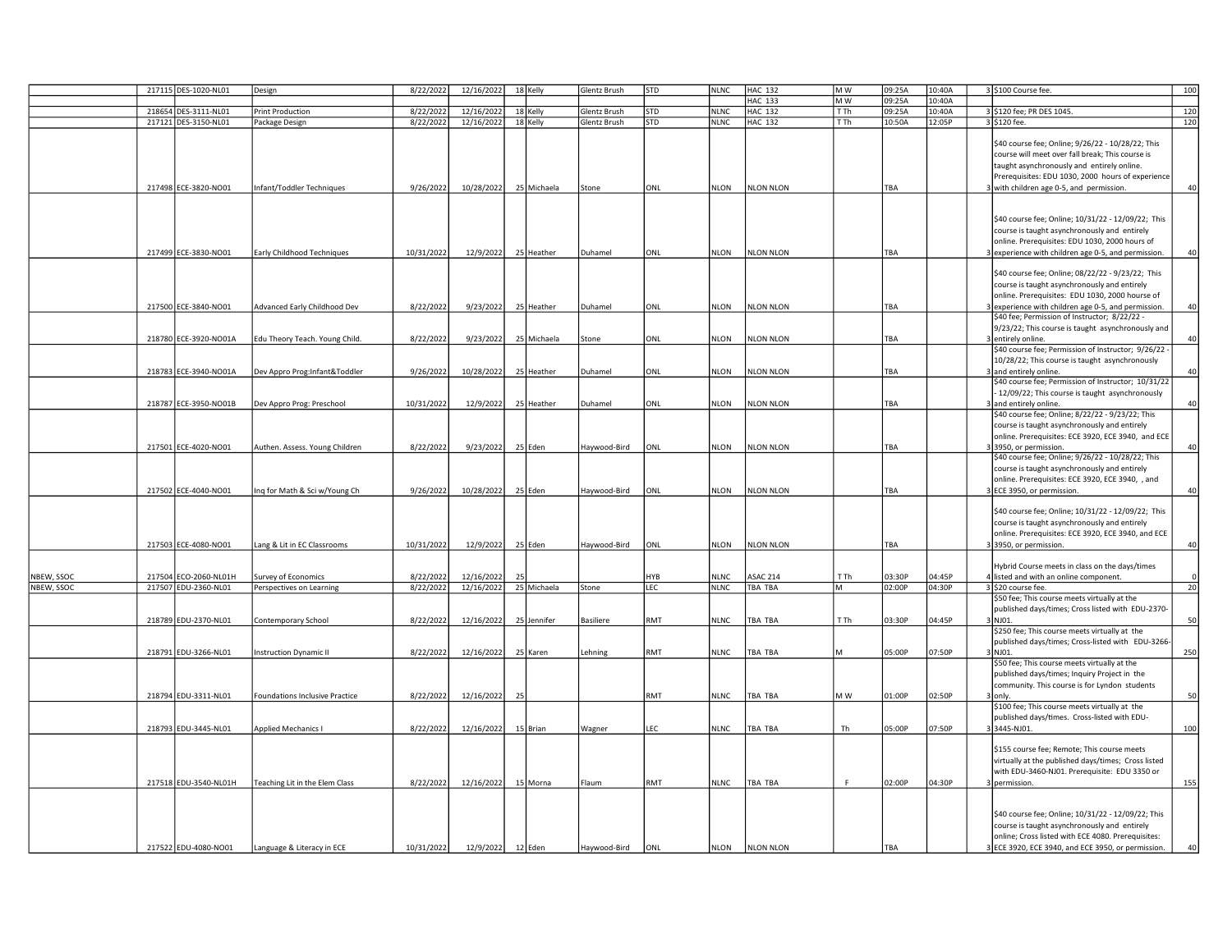|            | 217115 DES-1020-NL01  | Design                         | 8/22/2022  | 12/16/2022             |    | 18 Kelly    | Glentz Brush | STD | <b>NLNC</b> | <b>HAC 132</b>   | M W  | 09:25A     | 10:40A | 3 \$100 Course fee.                                  | 100             |
|------------|-----------------------|--------------------------------|------------|------------------------|----|-------------|--------------|-----|-------------|------------------|------|------------|--------|------------------------------------------------------|-----------------|
|            |                       |                                |            |                        |    |             |              |     |             | <b>HAC 133</b>   | M W  | 09:25A     | 10:40A |                                                      |                 |
|            | 218654 DES-3111-NL01  | <b>Print Production</b>        | 8/22/2022  | 12/16/2022             |    | 18 Kelly    | Glentz Brush | STD | <b>NLNC</b> | <b>HAC 132</b>   | TTh  | 09:25A     | 10:40A | 3 \$120 fee; PR DES 1045.                            | 120             |
|            | 217121 DES-3150-NL01  | Package Design                 | 8/22/2022  | 12/16/2022             |    | 18 Kelly    | Glentz Brush | STD | <b>NLNC</b> | <b>HAC 132</b>   | T Th | 10:50A     | 12:05P | 3 \$120 fee.                                         | 120             |
|            |                       |                                |            |                        |    |             |              |     |             |                  |      |            |        |                                                      |                 |
|            |                       |                                |            |                        |    |             |              |     |             |                  |      |            |        | \$40 course fee; Online; 9/26/22 - 10/28/22; This    |                 |
|            |                       |                                |            |                        |    |             |              |     |             |                  |      |            |        | course will meet over fall break; This course is     |                 |
|            |                       |                                |            |                        |    |             |              |     |             |                  |      |            |        |                                                      |                 |
|            |                       |                                |            |                        |    |             |              |     |             |                  |      |            |        | taught asynchronously and entirely online.           |                 |
|            |                       |                                |            |                        |    |             |              |     |             |                  |      |            |        | Prerequisites: EDU 1030, 2000 hours of experience    |                 |
|            | 217498 ECE-3820-NO01  | Infant/Toddler Techniques      | 9/26/2022  | 10/28/2022 25 Michaela |    |             | Stone        | ONL | NLON        | <b>NLON NLON</b> |      | TBA        |        | with children age 0-5, and permission.               | 40              |
|            |                       |                                |            |                        |    |             |              |     |             |                  |      |            |        |                                                      |                 |
|            |                       |                                |            |                        |    |             |              |     |             |                  |      |            |        |                                                      |                 |
|            |                       |                                |            |                        |    |             |              |     |             |                  |      |            |        | \$40 course fee; Online; 10/31/22 - 12/09/22; This   |                 |
|            |                       |                                |            |                        |    |             |              |     |             |                  |      |            |        | course is taught asynchronously and entirely         |                 |
|            |                       |                                |            |                        |    |             |              |     |             |                  |      |            |        | online. Prerequisites: EDU 1030, 2000 hours of       |                 |
|            | 217499 ECE-3830-NO01  | Early Childhood Techniques     | 10/31/2022 | 12/9/2022              |    | 25 Heather  | Duhamel      | ONL | NLON        | <b>NLON NLON</b> |      | TBA        |        | experience with children age 0-5, and permission.    | 40              |
|            |                       |                                |            |                        |    |             |              |     |             |                  |      |            |        |                                                      |                 |
|            |                       |                                |            |                        |    |             |              |     |             |                  |      |            |        | \$40 course fee; Online; 08/22/22 - 9/23/22; This    |                 |
|            |                       |                                |            |                        |    |             |              |     |             |                  |      |            |        | course is taught asynchronously and entirely         |                 |
|            |                       |                                |            |                        |    |             |              |     |             |                  |      |            |        |                                                      |                 |
|            |                       |                                |            |                        |    |             |              |     |             |                  |      |            |        | online. Prerequisites: EDU 1030, 2000 hourse of      |                 |
|            | 217500 ECE-3840-NO01  | Advanced Early Childhood Dev   | 8/22/2022  | 9/23/2022              |    | 25 Heather  | Duhamel      | ONL | NLON        | <b>NLON NLON</b> |      | TBA        |        | 3 experience with children age 0-5, and permission.  | 40              |
|            |                       |                                |            |                        |    |             |              |     |             |                  |      |            |        | \$40 fee; Permission of Instructor; 8/22/22 -        |                 |
|            |                       |                                |            |                        |    |             |              |     |             |                  |      |            |        | 9/23/22; This course is taught asynchronously and    |                 |
|            | 218780 ECE-3920-NO01A | Edu Theory Teach. Young Child. | 8/22/2022  | 9/23/2022              |    | 25 Michaela | Stone        | ONL | NLON        | <b>NLON NLON</b> |      | TBA        |        | 3 entirely online.                                   | 40              |
|            |                       |                                |            |                        |    |             |              |     |             |                  |      |            |        | \$40 course fee; Permission of Instructor; 9/26/22 - |                 |
|            |                       |                                |            |                        |    |             |              |     |             |                  |      |            |        | 10/28/22; This course is taught asynchronously       |                 |
|            | 218783 ECE-3940-NO01A | Dev Appro Prog:Infant&Toddler  | 9/26/2022  | 10/28/2022             |    | 25 Heather  | Duhamel      | ONL | NLON        | <b>NLON NLON</b> |      | TBA        |        | 3 and entirely online.                               | 40              |
|            |                       |                                |            |                        |    |             |              |     |             |                  |      |            |        | \$40 course fee; Permission of Instructor; 10/31/22  |                 |
|            |                       |                                |            |                        |    |             |              |     |             |                  |      |            |        | - 12/09/22; This course is taught asynchronously     |                 |
|            | 218787 ECE-3950-NO01B | Dev Appro Prog: Preschool      | 10/31/2022 | 12/9/2022              |    | 25 Heather  | Duhamel      | ONL | NLON        | <b>NLON NLON</b> |      | TBA        |        | and entirely online.                                 | 40 <sup>1</sup> |
|            |                       |                                |            |                        |    |             |              |     |             |                  |      |            |        |                                                      |                 |
|            |                       |                                |            |                        |    |             |              |     |             |                  |      |            |        | \$40 course fee; Online; 8/22/22 - 9/23/22; This     |                 |
|            |                       |                                |            |                        |    |             |              |     |             |                  |      |            |        | course is taught asynchronously and entirely         |                 |
|            |                       |                                |            |                        |    |             |              |     |             |                  |      |            |        | online. Prerequisites: ECE 3920, ECE 3940, and ECE   |                 |
|            | 217501 ECE-4020-NO01  | Authen. Assess. Young Children | 8/22/2022  | 9/23/2022              |    | 25 Eden     | Haywood-Bird | ONL | NLON        | <b>NLON NLON</b> |      | TBA        |        | 3950, or permission.                                 | 40              |
|            |                       |                                |            |                        |    |             |              |     |             |                  |      |            |        | \$40 course fee; Online; 9/26/22 - 10/28/22; This    |                 |
|            |                       |                                |            |                        |    |             |              |     |             |                  |      |            |        | course is taught asynchronously and entirely         |                 |
|            |                       |                                |            |                        |    |             |              |     |             |                  |      |            |        | online. Prerequisites: ECE 3920, ECE 3940, , and     |                 |
|            | 217502 ECE-4040-NO01  | ng for Math & Sci w/Young Ch   | 9/26/2022  | 10/28/2022             |    | 25 Eden     | Haywood-Bird | ONL | NLON        | NLON NLON        |      | TBA        |        | 3 ECE 3950, or permission.                           | 40              |
|            |                       |                                |            |                        |    |             |              |     |             |                  |      |            |        |                                                      |                 |
|            |                       |                                |            |                        |    |             |              |     |             |                  |      |            |        | \$40 course fee; Online; 10/31/22 - 12/09/22; This   |                 |
|            |                       |                                |            |                        |    |             |              |     |             |                  |      |            |        | course is taught asynchronously and entirely         |                 |
|            |                       |                                |            |                        |    |             |              |     |             |                  |      |            |        | online. Prerequisites: ECE 3920, ECE 3940, and ECE   |                 |
|            |                       |                                |            |                        |    |             |              |     |             |                  |      | <b>TRA</b> |        |                                                      | 40              |
|            | 217503 ECE-4080-NO01  | Lang & Lit in EC Classrooms    | 10/31/2022 | 12/9/2022              |    | 25 Eden     | Haywood-Bird | ONL | <b>NLON</b> | NLON NLON        |      |            |        | 33950, or permission.                                |                 |
|            |                       |                                |            |                        |    |             |              |     |             |                  |      |            |        |                                                      |                 |
|            |                       |                                |            |                        |    |             |              |     |             |                  |      |            |        | Hybrid Course meets in class on the days/times       |                 |
| NBEW, SSOC | 217504 ECO-2060-NL01H | Survey of Economics            | 8/22/2022  | 12/16/2022             | 25 |             |              | 4YB | NLNC        | <b>ASAC 214</b>  | T Th | 03:30P     | 04:45P | listed and with an online component.                 |                 |
| NBEW, SSOC | 217507 EDU-2360-NL01  | Perspectives on Learning       | 8/22/2022  | 12/16/2022             |    | 25 Michaela | Stone        | LEC | <b>NLNC</b> | <b>TBA TBA</b>   | м    | 02:00P     | 04:30P | 3 \$20 course fee.                                   | 20              |
|            |                       |                                |            |                        |    |             |              |     |             |                  |      |            |        | \$50 fee; This course meets virtually at the         |                 |
|            |                       |                                |            |                        |    |             |              |     |             |                  |      |            |        | published days/times; Cross listed with EDU-2370-    |                 |
|            | 218789 EDU-2370-NL01  | Contemporary School            | 8/22/2022  | 12/16/2022             |    | 25 Jennifer | Basiliere    | RMT | <b>NLNC</b> | TBA TBA          | T Th | 03:30P     | 04:45P | 3 NJ01.                                              | 50              |
|            |                       |                                |            |                        |    |             |              |     |             |                  |      |            |        | \$250 fee; This course meets virtually at the        |                 |
|            |                       |                                |            |                        |    |             |              |     |             |                  |      |            |        | published days/times; Cross-listed with EDU-3266-    |                 |
|            | 218791 EDU-3266-NL01  | <b>Instruction Dynamic II</b>  | 8/22/2022  | 12/16/2022             |    | 25 Karen    | Lehning      | RMT | <b>NLNC</b> | TBA TBA          | M    | 05:00P     | 07:50P | 3 NJ01                                               | 250             |
|            |                       |                                |            |                        |    |             |              |     |             |                  |      |            |        | \$50 fee; This course meets virtually at the         |                 |
|            |                       |                                |            |                        |    |             |              |     |             |                  |      |            |        | published days/times; Inquiry Project in the         |                 |
|            |                       |                                |            |                        |    |             |              |     |             |                  |      |            |        |                                                      |                 |
|            |                       |                                |            |                        |    |             |              |     |             |                  |      |            |        | community. This course is for Lyndon students        |                 |
|            | 218794 EDU-3311-NL01  | Foundations Inclusive Practice | 8/22/2022  | 12/16/2022             | 25 |             |              | RMT | <b>NLNC</b> | TBA TBA          | M W  | 01:00P     | 02:50P | lonly.                                               | 50              |
|            |                       |                                |            |                        |    |             |              |     |             |                  |      |            |        | \$100 fee; This course meets virtually at the        |                 |
|            |                       |                                |            |                        |    |             |              |     |             |                  |      |            |        | published days/times. Cross-listed with EDU-         |                 |
|            | 218793 EDU-3445-NL01  | <b>Applied Mechanics I</b>     | 8/22/2022  | 12/16/2022             |    | 15 Brian    | Wagner       | LEC | NLNC        | TBA TBA          | Th   | 05:00P     | 07:50P | 33445-NJ01.                                          | 100             |
|            |                       |                                |            |                        |    |             |              |     |             |                  |      |            |        |                                                      |                 |
|            |                       |                                |            |                        |    |             |              |     |             |                  |      |            |        | \$155 course fee; Remote; This course meets          |                 |
|            |                       |                                |            |                        |    |             |              |     |             |                  |      |            |        | virtually at the published days/times; Cross listed  |                 |
|            |                       |                                |            |                        |    |             |              |     |             |                  |      |            |        | with EDU-3460-NJ01. Prerequisite: EDU 3350 or        |                 |
|            | 217518 EDU-3540-NL01H | Teaching Lit in the Elem Class | 8/22/2022  | 12/16/2022             |    |             | Flaum        | RMT | NLNC        | TBA TBA          | F.   | 02:00P     | 04:30P | permission.                                          | 155             |
|            |                       |                                |            |                        |    | 15 Morna    |              |     |             |                  |      |            |        |                                                      |                 |
|            |                       |                                |            |                        |    |             |              |     |             |                  |      |            |        |                                                      |                 |
|            |                       |                                |            |                        |    |             |              |     |             |                  |      |            |        |                                                      |                 |
|            |                       |                                |            |                        |    |             |              |     |             |                  |      |            |        | \$40 course fee; Online; 10/31/22 - 12/09/22; This   |                 |
|            |                       |                                |            |                        |    |             |              |     |             |                  |      |            |        | course is taught asynchronously and entirely         |                 |
|            |                       |                                |            |                        |    |             |              |     |             |                  |      |            |        | online; Cross listed with ECE 4080. Prerequisites:   |                 |
|            | 217522 EDU-4080-NO01  | Language & Literacy in ECE     | 10/31/2022 | 12/9/2022              |    | 12 Eden     | Haywood-Bird | ONL | NLON        | <b>NLON NLON</b> |      | <b>TBA</b> |        | 3 ECE 3920, ECE 3940, and ECE 3950, or permission.   | 40              |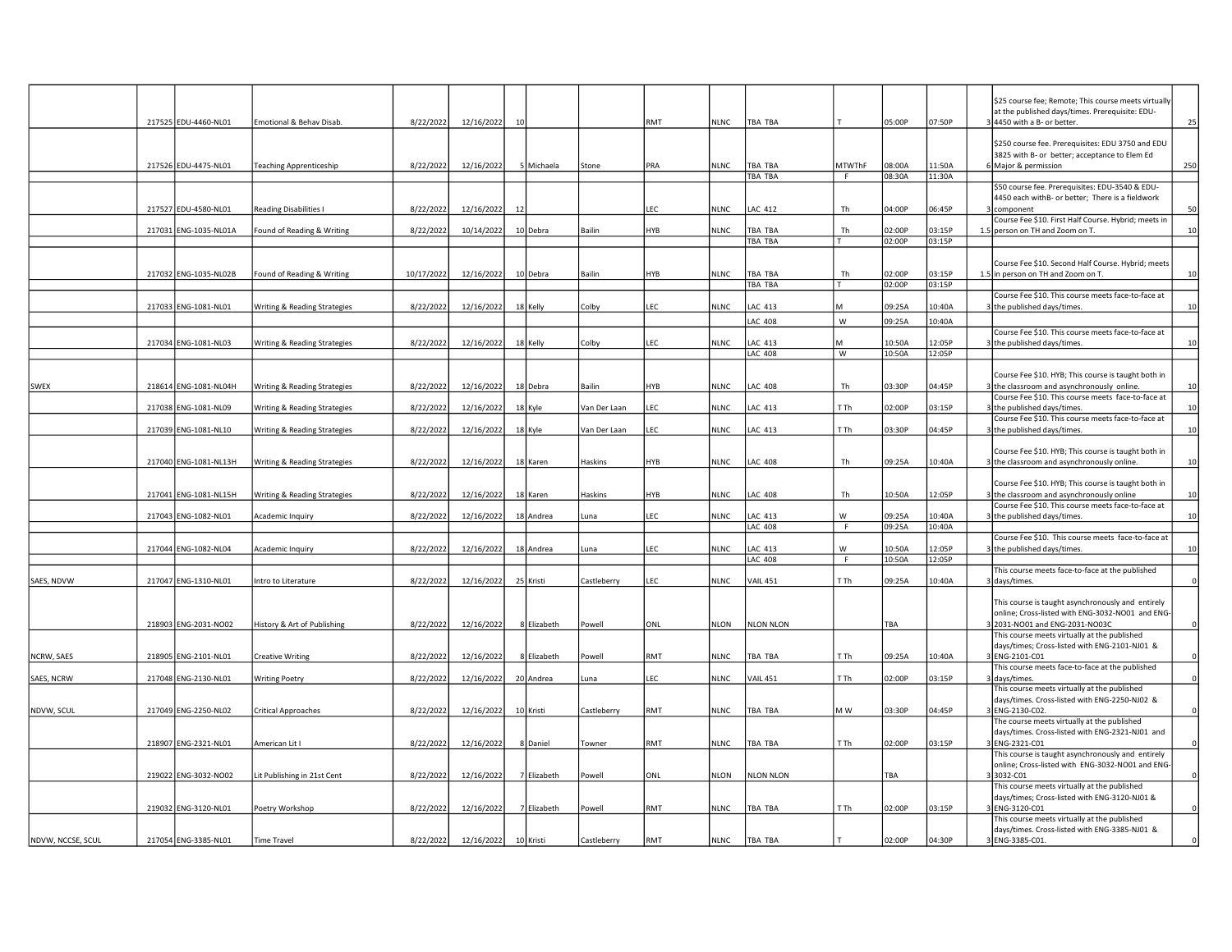|                   |                       |                               |            |            |                 |             |              |     |             |                           |               |                  |                  | \$25 course fee; Remote; This course meets virtually                                                  |             |
|-------------------|-----------------------|-------------------------------|------------|------------|-----------------|-------------|--------------|-----|-------------|---------------------------|---------------|------------------|------------------|-------------------------------------------------------------------------------------------------------|-------------|
|                   | 217525 EDU-4460-NL01  | Emotional & Behav Disab.      | 8/22/2022  | 12/16/2022 | 10 <sup>1</sup> |             |              | RMT |             | <b>TBA TBA</b>            |               | 05:00P           | 07:50P           | at the published days/times. Prerequisite: EDU-<br>4450 with a B- or better.                          | 25          |
|                   |                       |                               |            |            |                 |             |              |     | <b>NLNC</b> |                           |               |                  |                  |                                                                                                       |             |
|                   |                       |                               |            |            |                 |             |              |     |             |                           |               |                  |                  | \$250 course fee. Prerequisites: EDU 3750 and EDU                                                     |             |
|                   |                       |                               |            |            |                 |             |              |     |             |                           |               |                  |                  | 3825 with B- or better; acceptance to Elem Ed                                                         |             |
|                   | 217526 EDU-4475-NL01  | Teaching Apprenticeship       | 8/22/2022  | 12/16/2022 |                 | 5 Michaela  | Stone        | PRA | NLNC        | TBA TBA                   | <b>MTWThF</b> | 08:00A           | 11:50A           | 6 Major & permission                                                                                  | 250         |
|                   |                       |                               |            |            |                 |             |              |     |             | TBA TBA                   | F.            | 08:30A           | 11:30A           | \$50 course fee. Prerequisites: EDU-3540 & EDU-                                                       |             |
|                   |                       |                               |            |            |                 |             |              |     |             |                           |               |                  |                  | 4450 each withB- or better; There is a fieldwork                                                      |             |
|                   | 217527 EDU-4580-NL01  | <b>Reading Disabilities I</b> | 8/22/2022  | 12/16/2022 | 12              |             |              | LEC | <b>NLNC</b> | <b>LAC 412</b>            | Th            | 04:00P           | 06:45P           | component                                                                                             | 50          |
|                   |                       |                               |            |            |                 |             |              |     |             |                           |               |                  |                  | Course Fee \$10. First Half Course. Hybrid; meets in                                                  |             |
|                   | 217031 ENG-1035-NL01A | Found of Reading & Writing    | 8/22/2022  | 10/14/2022 |                 | 10 Debra    | Bailin       | HYB | <b>NLNC</b> | TBA TBA                   | Th            | 02:00P           | 03:15P           | person on TH and Zoom on T.                                                                           | 10          |
|                   |                       |                               |            |            |                 |             |              |     |             | TBA TBA                   |               | 02:00P           | 03:15P           |                                                                                                       |             |
|                   |                       |                               |            |            |                 |             |              |     |             |                           |               |                  |                  | Course Fee \$10. Second Half Course. Hybrid; meets                                                    |             |
|                   | 217032 ENG-1035-NL02B | Found of Reading & Writing    | 10/17/2022 | 12/16/2022 |                 | 10 Debra    | Bailin       | 4YB | NLNC        | TBA TBA                   | Th            | 02:00P           | 03:15P           | 1.5 in person on TH and Zoom on T.                                                                    | 10          |
|                   |                       |                               |            |            |                 |             |              |     |             | TBA TBA                   |               | 02:00P           | 03:15P           |                                                                                                       |             |
|                   |                       |                               |            |            |                 |             |              |     |             |                           |               |                  |                  | Course Fee \$10. This course meets face-to-face at                                                    |             |
|                   | 217033 ENG-1081-NL01  | Writing & Reading Strategies  | 8/22/2022  | 12/16/2022 |                 | 18 Kelly    | Colby        | LEC | NLNC        | LAC 413                   | M             | 09:25A           | 10:40A           | the published days/times.                                                                             | 10          |
|                   |                       |                               |            |            |                 |             |              |     |             | <b>LAC 408</b>            | W             | 09:25A           | 10:40A           |                                                                                                       |             |
|                   |                       |                               |            |            |                 |             |              |     |             |                           |               |                  |                  | Course Fee \$10. This course meets face-to-face at                                                    |             |
|                   | 217034 ENG-1081-NL03  | Writing & Reading Strategies  | 8/22/2022  | 12/16/2022 |                 | 18 Kelly    | Colby        | LEC | <b>NLNC</b> | AC 413                    | м             | 10:50A           | 12:05P           | the published days/times.                                                                             | 10          |
|                   |                       |                               |            |            |                 |             |              |     |             | <b>LAC 408</b>            | W             | 10:50A           | 12:05P           |                                                                                                       |             |
|                   |                       |                               |            |            |                 |             |              |     |             |                           |               |                  |                  | Course Fee \$10. HYB; This course is taught both in                                                   |             |
| SWEX              | 218614 ENG-1081-NL04H | Writing & Reading Strategies  | 8/22/2022  | 12/16/2022 |                 | 18 Debra    | Bailin       | HYB | NLNC        | LAC 408                   | Th            | 03:30P           | 04:45P           | 3 the classroom and asynchronously online.                                                            | 10          |
|                   |                       |                               |            |            |                 |             |              |     |             |                           |               |                  |                  | Course Fee \$10. This course meets face-to-face at                                                    |             |
|                   | 217038 ENG-1081-NL09  | Writing & Reading Strategies  | 8/22/2022  | 12/16/2022 |                 | 18 Kyle     | Van Der Laan | LEC | <b>NLNC</b> | <b>LAC 413</b>            | T Th          | 02:00P           | 03:15P           | 3 the published days/times.                                                                           | 10          |
|                   | 217039 ENG-1081-NL10  | Writing & Reading Strategies  | 8/22/2022  | 12/16/2022 |                 | 18 Kyle     | Van Der Laan | LEC | <b>NLNC</b> | <b>LAC 413</b>            | T Th          | 03:30P           | 04:45P           | Course Fee \$10. This course meets face-to-face at<br>the published days/times.                       | 10          |
|                   |                       |                               |            |            |                 |             |              |     |             |                           |               |                  |                  |                                                                                                       |             |
|                   |                       |                               |            |            |                 |             |              |     |             |                           |               |                  |                  | Course Fee \$10. HYB; This course is taught both in                                                   |             |
|                   | 217040 ENG-1081-NL13H | Writing & Reading Strategies  | 8/22/2022  | 12/16/2022 |                 | 18 Karen    | Haskins      | HYB | NLNC        | LAC 408                   | Th            | 09:25A           | 10:40A           | the classroom and asynchronously online.                                                              | 10          |
|                   |                       |                               |            |            |                 |             |              |     |             |                           |               |                  |                  |                                                                                                       |             |
|                   | 217041 ENG-1081-NL15H | Writing & Reading Strategies  | 8/22/2022  | 12/16/2022 |                 | 18 Karen    | Haskins      | HYB | NLNC        | <b>LAC 408</b>            | Th            | 10:50A           | 12:05P           | Course Fee \$10. HYB; This course is taught both in<br>the classroom and asynchronously online        | 10          |
|                   |                       |                               |            |            |                 |             |              |     |             |                           |               |                  |                  | Course Fee \$10. This course meets face-to-face at                                                    |             |
|                   | 217043 ENG-1082-NL01  | Academic Inquiry              | 8/22/2022  | 12/16/2022 |                 | 18 Andrea   | Luna         | LEC | NLNC        | <b>LAC 413</b>            | W             | 09:25A           | 10:40A           | the published days/times.                                                                             | 10          |
|                   |                       |                               |            |            |                 |             |              |     |             | <b>LAC 408</b>            | F.            | 09:25A           | 10:40A           |                                                                                                       |             |
|                   |                       |                               |            |            |                 |             |              |     |             |                           |               |                  |                  | Course Fee \$10. This course meets face-to-face at                                                    |             |
|                   | 217044 ENG-1082-NL04  | Academic Inquiry              | 8/22/2022  | 12/16/2022 |                 | 18 Andrea   | Luna         | EC. | <b>NLNC</b> | LAC 413<br><b>LAC 408</b> | W             | 10:50A<br>10:50A | 12:05P<br>12:05P | the published days/times.                                                                             | 10          |
|                   |                       |                               |            |            |                 |             |              |     |             |                           | F             |                  |                  | This course meets face-to-face at the published                                                       |             |
| SAES, NDVW        | 217047 ENG-1310-NL01  | Intro to Literature           | 8/22/2022  | 12/16/2022 |                 | 25 Kristi   | Castleberry  | LEC | NLNC        | <b>VAIL 451</b>           | T Th          | 09:25A           | 10:40A           | days/times.                                                                                           | $\Omega$    |
|                   |                       |                               |            |            |                 |             |              |     |             |                           |               |                  |                  |                                                                                                       |             |
|                   |                       |                               |            |            |                 |             |              |     |             |                           |               |                  |                  | This course is taught asynchronously and entirely                                                     |             |
|                   | 218903 ENG-2031-NO02  | History & Art of Publishing   | 8/22/2022  | 12/16/2022 |                 | 8 Elizabeth | Powell       | ONL | NLON        | <b>NLON NLON</b>          |               | TBA              |                  | online; Cross-listed with ENG-3032-NO01 and ENG<br>2031-NO01 and ENG-2031-NO03C                       | $\Omega$    |
|                   |                       |                               |            |            |                 |             |              |     |             |                           |               |                  |                  | This course meets virtually at the published                                                          |             |
|                   |                       |                               |            |            |                 |             |              |     |             |                           |               |                  |                  | days/times; Cross-listed with ENG-2101-NJ01 &                                                         |             |
| NCRW, SAES        | 218905 ENG-2101-NL01  | <b>Creative Writing</b>       | 8/22/2022  | 12/16/2022 |                 | 8 Elizabeth | Powell       | RMT | NLNC        | TBA TBA                   | T Th          | 09:25A           | 10:40A           | ENG-2101-C01                                                                                          |             |
|                   |                       |                               |            |            |                 |             |              |     |             |                           |               |                  |                  | This course meets face-to-face at the published                                                       |             |
| <b>SAES, NCRW</b> | 217048 ENG-2130-NL01  | <b>Writing Poetry</b>         | 8/22/2022  | 12/16/2022 |                 | 20 Andrea   | Luna         | LEC | <b>NLNC</b> | <b>VAIL 451</b>           | T Th          | 02:00P           | 03:15P           | days/times.<br>This course meets virtually at the published                                           |             |
|                   |                       |                               |            |            |                 |             |              |     |             |                           |               |                  |                  | days/times. Cross-listed with ENG-2250-NJ02 &                                                         |             |
| NDVW, SCUL        | 217049 ENG-2250-NL02  | <b>Critical Approaches</b>    | 8/22/2022  | 12/16/2022 |                 | 10 Kristi   | Castleberry  | RMT | <b>NLNC</b> | TBA TBA                   | M W           | 03:30P           | 04:45P           | ENG-2130-C02.                                                                                         | $\Omega$    |
|                   |                       |                               |            |            |                 |             |              |     |             |                           |               |                  |                  | The course meets virtually at the published                                                           |             |
|                   |                       |                               |            |            |                 |             |              |     |             |                           |               |                  |                  | days/times. Cross-listed with ENG-2321-NJ01 and                                                       |             |
|                   | 218907 ENG-2321-NL01  | American Lit I                | 8/22/2022  | 12/16/2022 |                 | 8 Daniel    | Towner       | RMT | <b>NLNC</b> | TBA TBA                   | T Th          | 02:00P           | 03:15P           | ENG-2321-C01                                                                                          | $\Omega$    |
|                   |                       |                               |            |            |                 |             |              |     |             |                           |               |                  |                  | This course is taught asynchronously and entirely<br>online; Cross-listed with ENG-3032-NO01 and ENG- |             |
|                   | 219022 ENG-3032-NO02  | Lit Publishing in 21st Cent   | 8/22/2022  | 12/16/2022 |                 | 7 Elizabeth | Powell       | ONL | NLON        | <b>NLON NLON</b>          |               | TBA              |                  | 3032-C01                                                                                              | $\mathbf 0$ |
|                   |                       |                               |            |            |                 |             |              |     |             |                           |               |                  |                  | This course meets virtually at the published                                                          |             |
|                   |                       |                               |            |            |                 |             |              |     |             |                           |               |                  |                  | days/times; Cross-listed with ENG-3120-NJ01 &                                                         |             |
|                   | 219032 ENG-3120-NL01  | Poetry Workshop               | 8/22/2022  | 12/16/2022 |                 | 7 Elizabeth | Powell       | RMT | NLNC        | TBA TBA                   | T Th          | 02:00P           | 03:15P           | ENG-3120-C01<br>This course meets virtually at the published                                          | $\Omega$    |
|                   |                       |                               |            |            |                 |             |              |     |             |                           |               |                  |                  | days/times. Cross-listed with ENG-3385-NJ01 &                                                         |             |
| NDVW, NCCSE, SCUL | 217054 ENG-3385-NL01  | <b>Time Travel</b>            | 8/22/2022  | 12/16/2022 |                 | 10 Kristi   | Castleberry  | RMT | <b>NLNC</b> | TBA TBA                   |               | 02:00P           | 04:30P           | 3 ENG-3385-C01.                                                                                       |             |
|                   |                       |                               |            |            |                 |             |              |     |             |                           |               |                  |                  |                                                                                                       |             |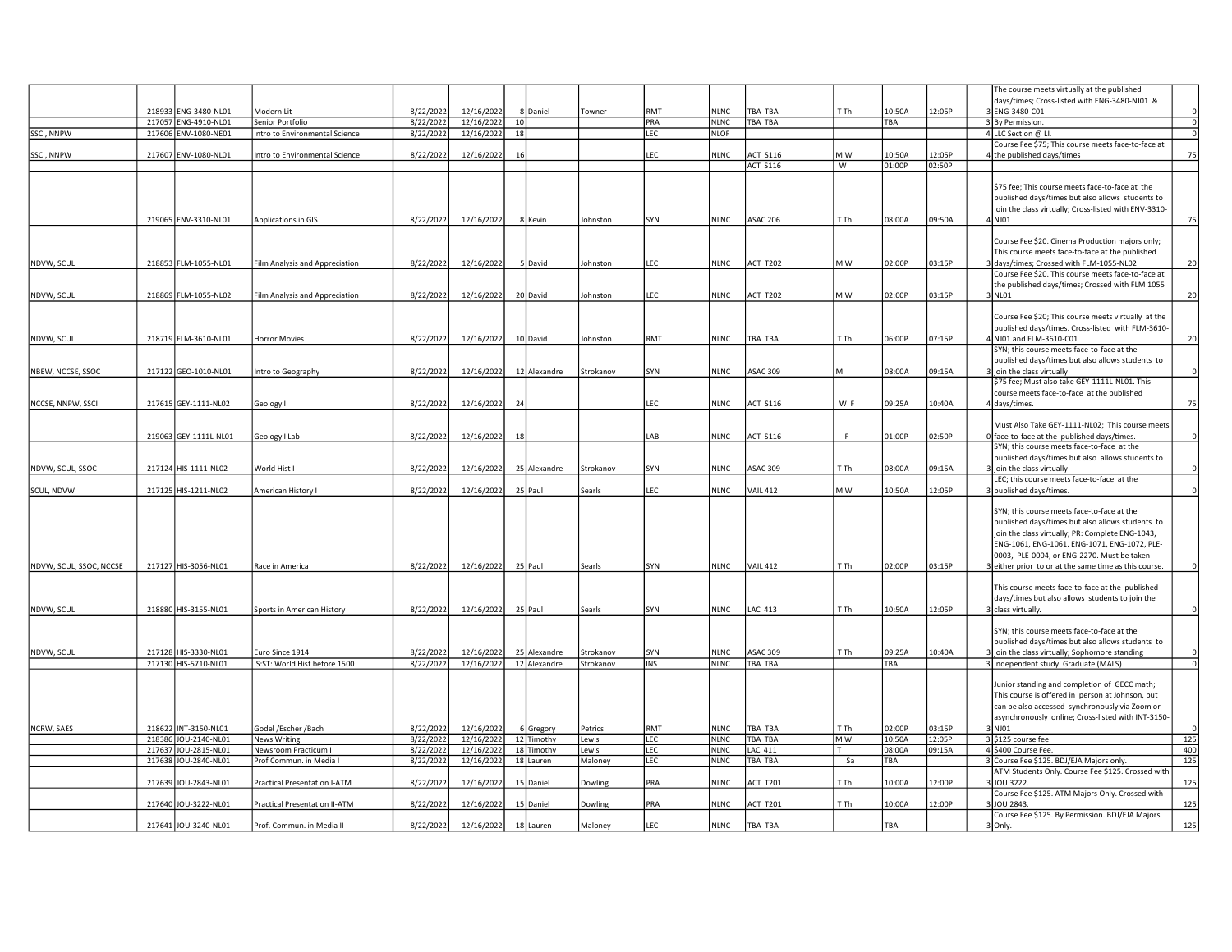|                         |                                              |                                                    |                        |                          |                                    |              |           |            |                            |                 |      |        |        | The course meets virtually at the published                                                        |                |
|-------------------------|----------------------------------------------|----------------------------------------------------|------------------------|--------------------------|------------------------------------|--------------|-----------|------------|----------------------------|-----------------|------|--------|--------|----------------------------------------------------------------------------------------------------|----------------|
|                         |                                              |                                                    |                        |                          |                                    |              |           |            |                            |                 |      |        |        | days/times; Cross-listed with ENG-3480-NJ01 &                                                      |                |
|                         | 218933 ENG-3480-NL01                         | Modern Lit                                         | 8/22/2022              | 12/16/2022               |                                    | 8 Daniel     | Towner    | RMT        | <b>NLNC</b>                | TBA TBA         | T Th | 10:50A | 12:05P | ENG-3480-C01                                                                                       | $\overline{0}$ |
| SSCI, NNPW              | 217057 ENG-4910-NL01<br>217606 ENV-1080-NE01 | Senior Portfolio<br>Intro to Environmental Science | 8/22/2022<br>8/22/2022 | 12/16/2022<br>12/16/2022 | 10 <sup>1</sup><br>18 <sup>1</sup> |              |           | PRA<br>LEC | <b>NLNC</b><br><b>NLOF</b> | TBA TBA         |      | TBA    |        | 3 By Permission.<br>4 LLC Section @ LI.                                                            | $\overline{0}$ |
|                         |                                              |                                                    |                        |                          |                                    |              |           |            |                            |                 |      |        |        | Course Fee \$75; This course meets face-to-face at                                                 |                |
| SSCI, NNPW              | 217607 ENV-1080-NL01                         | Intro to Environmental Science                     | 8/22/2022              | 12/16/2022               | 16                                 |              |           | LEC        | NLNC                       | <b>ACT S116</b> | M W  | 10:50A | 12:05P | the published days/times                                                                           | 75             |
|                         |                                              |                                                    |                        |                          |                                    |              |           |            |                            | <b>ACT S116</b> | W    | 01:00P | 02:50P |                                                                                                    |                |
|                         |                                              |                                                    |                        |                          |                                    |              |           |            |                            |                 |      |        |        |                                                                                                    |                |
|                         |                                              |                                                    |                        |                          |                                    |              |           |            |                            |                 |      |        |        | \$75 fee; This course meets face-to-face at the                                                    |                |
|                         |                                              |                                                    |                        |                          |                                    |              |           |            |                            |                 |      |        |        | published days/times but also allows students to                                                   |                |
|                         |                                              |                                                    |                        |                          |                                    |              |           |            |                            |                 |      |        |        | join the class virtually; Cross-listed with ENV-3310-                                              |                |
|                         | 219065 ENV-3310-NL01                         | Applications in GIS                                | 8/22/2022              | 12/16/2022               |                                    | 8 Kevin      | Johnston  | SYN        | <b>NLNC</b>                | <b>ASAC 206</b> | T Th | 08:00A | 09:50A | 4 NJ 01                                                                                            | 75             |
|                         |                                              |                                                    |                        |                          |                                    |              |           |            |                            |                 |      |        |        |                                                                                                    |                |
|                         |                                              |                                                    |                        |                          |                                    |              |           |            |                            |                 |      |        |        | Course Fee \$20. Cinema Production majors only;                                                    |                |
|                         |                                              |                                                    |                        |                          |                                    |              |           |            |                            |                 |      |        |        | This course meets face-to-face at the published                                                    |                |
| NDVW, SCUL              | 218853 FLM-1055-NL01                         | Film Analysis and Appreciation                     | 8/22/2022              | 12/16/2022               |                                    | 5 David      | Johnston  | LEC        | NLNC                       | ACT T202        | M W  | 02:00P | 03:15P | days/times; Crossed with FLM-1055-NL02                                                             | 20             |
|                         |                                              |                                                    |                        |                          |                                    |              |           |            |                            |                 |      |        |        | Course Fee \$20. This course meets face-to-face at                                                 |                |
|                         |                                              |                                                    |                        |                          |                                    |              |           |            |                            |                 |      |        |        | the published days/times; Crossed with FLM 1055                                                    |                |
| NDVW, SCUL              | 218869 FLM-1055-NL02                         | Film Analysis and Appreciation                     | 8/22/2022              | 12/16/2022               |                                    | 20 David     | Johnston  | LEC        | <b>NLNC</b>                | <b>ACT T202</b> | M W  | 02:00P | 03:15P | 8 NLO1                                                                                             | 20             |
|                         |                                              |                                                    |                        |                          |                                    |              |           |            |                            |                 |      |        |        |                                                                                                    |                |
|                         |                                              |                                                    |                        |                          |                                    |              |           |            |                            |                 |      |        |        | Course Fee \$20; This course meets virtually at the                                                |                |
|                         | 218719 FLM-3610-NL01                         | Horror Movies                                      | 8/22/2022              | 12/16/2022               |                                    |              | Johnston  | RMT        | NLNC                       | <b>TBA TBA</b>  | T Th | 06:00P | 07:15P | published days/times. Cross-listed with FLM-3610-<br>NJ01 and FLM-3610-C01                         | 20             |
| NDVW, SCUL              |                                              |                                                    |                        |                          |                                    | 10 David     |           |            |                            |                 |      |        |        | SYN; this course meets face-to-face at the                                                         |                |
|                         |                                              |                                                    |                        |                          |                                    |              |           |            |                            |                 |      |        |        | published days/times but also allows students to                                                   |                |
| NBEW, NCCSE, SSOC       | 217122 GEO-1010-NL01                         | ntro to Geography                                  | 8/22/2022              | 12/16/2022               |                                    | 12 Alexandre | Strokanov | SYN        | <b>NLNC</b>                | <b>ASAC 309</b> | l M  | 08:00A | 09:15A | join the class virtually                                                                           | $\Omega$       |
|                         |                                              |                                                    |                        |                          |                                    |              |           |            |                            |                 |      |        |        | \$75 fee; Must also take GEY-1111L-NL01. This                                                      |                |
|                         |                                              |                                                    |                        |                          |                                    |              |           |            |                            |                 |      |        |        | course meets face-to-face at the published                                                         |                |
| NCCSE, NNPW, SSCI       | 217615 GEY-1111-NL02                         | Geology I                                          | 8/22/2022              | 12/16/2022               | 24                                 |              |           | EC.        | <b>NLNC</b>                | <b>ACT S116</b> | W F  | 09:25A | 10:40A | I days/times.                                                                                      | 75             |
|                         |                                              |                                                    |                        |                          |                                    |              |           |            |                            |                 |      |        |        |                                                                                                    |                |
|                         |                                              |                                                    |                        |                          |                                    |              |           |            |                            |                 |      |        |        | Must Also Take GEY-1111-NL02; This course meets                                                    |                |
|                         | 219063 GEY-1111L-NL01                        | Geology I Lab                                      | 8/22/2022              | 12/16/2022               | 18                                 |              |           | AB         | <b>NLNC</b>                | <b>ACT S116</b> | F    | 01:00P | 02:50P | Iface-to-face at the published days/times.                                                         | $\Omega$       |
|                         |                                              |                                                    |                        |                          |                                    |              |           |            |                            |                 |      |        |        | SYN; this course meets face-to-face at the                                                         |                |
|                         |                                              |                                                    |                        |                          |                                    |              |           |            |                            |                 |      |        |        | published days/times but also allows students to                                                   |                |
| NDVW, SCUL, SSOC        | 217124 HIS-1111-NL02                         | World Hist I                                       | 8/22/2022              | 12/16/2022               |                                    | 25 Alexandre | Strokanov | SYN        | NLNC                       | <b>ASAC 309</b> | T Th | 08:00A | 09:15A | join the class virtually                                                                           |                |
|                         |                                              |                                                    |                        |                          |                                    |              |           |            |                            |                 |      |        |        | LEC; this course meets face-to-face at the                                                         |                |
| SCUL, NDVW              | 217125 HIS-1211-NL02                         | American History I                                 | 8/22/2022              | 12/16/2022               |                                    | 25 Paul      | Searls    | LEC        | NLNC                       | <b>VAIL 412</b> | MW   | 10:50A | 12:05P | published days/times.                                                                              | $\Omega$       |
|                         |                                              |                                                    |                        |                          |                                    |              |           |            |                            |                 |      |        |        | SYN; this course meets face-to-face at the                                                         |                |
|                         |                                              |                                                    |                        |                          |                                    |              |           |            |                            |                 |      |        |        | published days/times but also allows students to                                                   |                |
|                         |                                              |                                                    |                        |                          |                                    |              |           |            |                            |                 |      |        |        | join the class virtually; PR: Complete ENG-1043,                                                   |                |
|                         |                                              |                                                    |                        |                          |                                    |              |           |            |                            |                 |      |        |        | ENG-1061, ENG-1061. ENG-1071, ENG-1072, PLE-                                                       |                |
|                         |                                              |                                                    |                        |                          |                                    |              |           |            |                            |                 |      |        |        | 0003, PLE-0004, or ENG-2270. Must be taken                                                         |                |
| NDVW, SCUL, SSOC, NCCSE | 217127 HIS-3056-NL01                         | Race in America                                    | 8/22/2022              | 12/16/2022               |                                    | 25 Paul      | Searls    | SYN        | <b>NLNC</b>                | <b>VAIL 412</b> | T Th | 02:00P | 03:15P | either prior to or at the same time as this course.                                                |                |
|                         |                                              |                                                    |                        |                          |                                    |              |           |            |                            |                 |      |        |        |                                                                                                    |                |
|                         |                                              |                                                    |                        |                          |                                    |              |           |            |                            |                 |      |        |        | This course meets face-to-face at the published                                                    |                |
|                         |                                              |                                                    |                        |                          |                                    |              |           |            |                            |                 |      |        |        | days/times but also allows students to join the                                                    |                |
| NDVW, SCUL              | 218880 HIS-3155-NL01                         | Sports in American History                         | 8/22/2022              | 12/16/2022               |                                    | 25 Paul      | Searls    | SYN        | NLNC                       | <b>LAC 413</b>  | T Th | 10:50A | 12:05P | class virtually.                                                                                   |                |
|                         |                                              |                                                    |                        |                          |                                    |              |           |            |                            |                 |      |        |        |                                                                                                    |                |
|                         |                                              |                                                    |                        |                          |                                    |              |           |            |                            |                 |      |        |        | SYN; this course meets face-to-face at the                                                         |                |
|                         |                                              |                                                    |                        |                          |                                    |              |           |            |                            |                 |      |        |        | published days/times but also allows students to                                                   |                |
| NDVW, SCUL              | 217128 HIS-3330-NL01                         | uro Since 1914                                     | 8/22/2022              | 12/16/2022               |                                    | 25 Alexandre | Strokanov | SYN        | NLNC                       | <b>ASAC 309</b> | T Th | 09:25A | 10:40A | join the class virtually; Sophomore standing                                                       |                |
|                         | 217130 HIS-5710-NL01                         | IS:ST: World Hist before 1500                      | 8/22/2022              | 12/16/2022               |                                    | 12 Alexandre | Strokanov | INS        | NLNC                       | TBA TBA         |      | TBA    |        | 3 Independent study. Graduate (MALS)                                                               | $\overline{0}$ |
|                         |                                              |                                                    |                        |                          |                                    |              |           |            |                            |                 |      |        |        | Junior standing and completion of GECC math;                                                       |                |
|                         |                                              |                                                    |                        |                          |                                    |              |           |            |                            |                 |      |        |        |                                                                                                    |                |
|                         |                                              |                                                    |                        |                          |                                    |              |           |            |                            |                 |      |        |        | This course is offered in person at Johnson, but<br>can be also accessed synchronously via Zoom or |                |
|                         |                                              |                                                    |                        |                          |                                    |              |           |            |                            |                 |      |        |        | asynchronously online; Cross-listed with INT-3150-                                                 |                |
| NCRW, SAES              | 218622 INT-3150-NL01                         | Godel /Escher /Bach                                | 8/22/2022              | 12/16/2022               |                                    | 6 Gregory    | Petrics   | RMT        | NLNC                       | TBA TBA         | T Th | 02:00P | 03:15P | 3 NJ01                                                                                             | $\Omega$       |
|                         | 218386 JOU-2140-NL01                         | News Writing                                       | 8/22/2022              | 12/16/2022               |                                    | 12 Timothy   | Lewis     | LEC        | <b>NLNC</b>                | TBA TBA         | M W  | 10:50A | 12:05P | 3 \$125 course fee                                                                                 | 125            |
|                         | 217637 JOU-2815-NL01                         | Newsroom Practicum I                               | 8/22/2022              | 12/16/2022               |                                    | 18 Timothy   | Lewis     | LEC        | <b>NLNC</b>                | LAC 411         | T    | 08:00A | 09:15A | 4 \$400 Course Fee.                                                                                | 400            |
|                         | 217638 JOU-2840-NL01                         | Prof Commun. in Media I                            | 8/22/2022              | 12/16/2022               |                                    | 18 Lauren    | Maloney   | LEC        | NLNC                       | TBA TBA         | Sa   | TBA    |        | 3 Course Fee \$125. BDJ/EJA Majors only.                                                           | 125            |
|                         |                                              |                                                    |                        |                          |                                    |              |           |            |                            |                 |      |        |        | ATM Students Only. Course Fee \$125. Crossed with                                                  |                |
|                         | 217639 JOU-2843-NL01                         | Practical Presentation I-ATM                       | 8/22/2022              | 12/16/2022               |                                    | 15 Daniel    | Dowling   | PRA        | <b>NLNC</b>                | <b>ACT T201</b> | T Th | 10:00A | 12:00P | 3 JJOU 3222.                                                                                       | 125            |
|                         |                                              |                                                    |                        |                          |                                    |              |           |            |                            |                 |      |        |        | Course Fee \$125. ATM Majors Only. Crossed with                                                    |                |
|                         | 217640 JOU-3222-NL01                         | Practical Presentation II-ATM                      | 8/22/2022              | 12/16/2022               |                                    | 15 Daniel    | Dowling   | PRA        | NLNC                       | <b>ACT T201</b> | T Th | 10:00A | 12:00P | JOU 2843.                                                                                          | 125            |
|                         |                                              |                                                    |                        |                          |                                    |              |           |            |                            |                 |      |        |        | Course Fee \$125. By Permission. BDJ/EJA Majors                                                    |                |
|                         | 217641 JOU-3240-NL01                         | Prof. Commun. in Media II                          | 8/22/2022              | 12/16/2022               |                                    | 18 Lauren    | Maloney   | LEC        | <b>NLNC</b>                | TBA TBA         |      | TBA    |        | 3 Only.                                                                                            | 125            |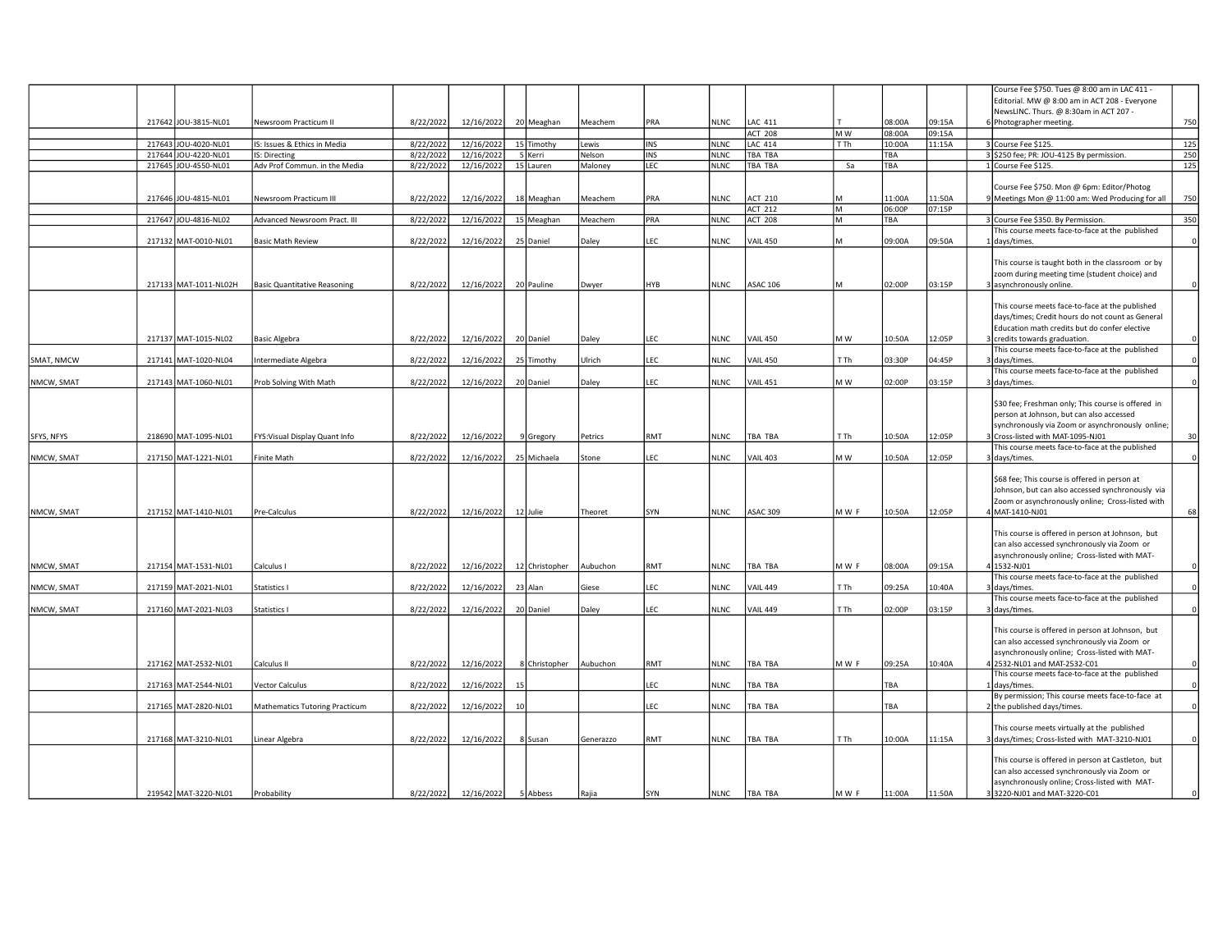|            |                       |                                       |           |            |    |                |           |            |             |                 |      |        |        | Course Fee \$750. Tues @ 8:00 am in LAC 411 -      |          |
|------------|-----------------------|---------------------------------------|-----------|------------|----|----------------|-----------|------------|-------------|-----------------|------|--------|--------|----------------------------------------------------|----------|
|            |                       |                                       |           |            |    |                |           |            |             |                 |      |        |        | Editorial. MW @ 8:00 am in ACT 208 - Everyone      |          |
|            |                       |                                       |           |            |    |                |           |            |             |                 |      |        |        | NewsLINC. Thurs. @ 8:30am in ACT 207 -             |          |
|            | 217642 JOU-3815-NL01  | Newsroom Practicum II                 | 8/22/2022 | 12/16/2022 |    | 20 Meaghan     | Meachem   | PRA        | <b>NLNC</b> | LAC 411         |      | 08:00A | 09:15A | Photographer meeting.                              | 750      |
|            |                       |                                       |           |            |    |                |           |            |             |                 |      |        |        |                                                    |          |
|            |                       |                                       |           |            |    |                |           |            |             | <b>ACT 208</b>  | M W  | 08:00A | 09:15A |                                                    |          |
|            | 217643 JOU-4020-NL01  | IS: Issues & Ethics in Media          | 8/22/2022 | 12/16/2022 |    | 15 Timothy     | Lewis     | <b>INS</b> | <b>NLNC</b> | <b>LAC 414</b>  | T Th | 10:00A | 11:15A | 3 Course Fee \$125.                                | 125      |
|            | 217644 JOU-4220-NL01  | IS: Directing                         | 8/22/2022 | 12/16/2022 |    | 5 Kerri        | Nelson    | INS        | <b>NLNC</b> | <b>TBA TBA</b>  |      | TBA    |        | 3 \$250 fee; PR: JOU-4125 By permission.           | 250      |
|            | 217645 JOU-4550-NL01  | Adv Prof Commun. in the Media         | 8/22/2022 | 12/16/2022 |    | 15 Lauren      | Maloney   | LEC        | <b>NLNC</b> | TBA TBA         | Sa   | TBA    |        | 1 Course Fee \$125.                                | 125      |
|            |                       |                                       |           |            |    |                |           |            |             |                 |      |        |        |                                                    |          |
|            |                       |                                       |           |            |    |                |           |            |             |                 |      |        |        | Course Fee \$750. Mon @ 6pm: Editor/Photog         |          |
|            |                       |                                       |           |            |    |                |           |            |             |                 |      |        |        |                                                    |          |
|            | 217646 JOU-4815-NL01  | Newsroom Practicum III                | 8/22/2022 | 12/16/2022 |    | 18 Meaghan     | Meachem   | PRA        | <b>NLNC</b> | <b>ACT 210</b>  |      | 11:00A | 11:50A | Meetings Mon @ 11:00 am: Wed Producing for all     | 750      |
|            |                       |                                       |           |            |    |                |           |            |             | <b>ACT 212</b>  | lм   | 06:00P | 07:15P |                                                    |          |
|            | 217647 JOU-4816-NL02  | Advanced Newsroom Pract. III          | 8/22/2022 | 12/16/2022 |    | 15 Meaghan     | Meachem   | PRA        | <b>NLNC</b> | <b>ACT 208</b>  | lм   | TBA    |        | 3 Course Fee \$350. By Permission.                 | 350      |
|            |                       |                                       |           |            |    |                |           |            |             |                 |      |        |        | This course meets face-to-face at the published    |          |
|            | 217132 MAT-0010-NL01  | <b>Basic Math Review</b>              | 8/22/2022 | 12/16/2022 |    | 25 Daniel      | Daley     | EC.        | <b>NLNC</b> | <b>VAIL 450</b> | lм   | 09:00A | 09:50A | 1 days/times.                                      |          |
|            |                       |                                       |           |            |    |                |           |            |             |                 |      |        |        |                                                    |          |
|            |                       |                                       |           |            |    |                |           |            |             |                 |      |        |        |                                                    |          |
|            |                       |                                       |           |            |    |                |           |            |             |                 |      |        |        | This course is taught both in the classroom or by  |          |
|            |                       |                                       |           |            |    |                |           |            |             |                 |      |        |        | zoom during meeting time (student choice) and      |          |
|            | 217133 MAT-1011-NL02H | <b>Basic Quantitative Reasoning</b>   | 8/22/2022 | 12/16/2022 |    | 20 Pauline     | Dwyer     | HYB        | <b>NLNC</b> | <b>ASAC 106</b> | lм   | 02:00P | 03:15P | asynchronously online.                             |          |
|            |                       |                                       |           |            |    |                |           |            |             |                 |      |        |        |                                                    |          |
|            |                       |                                       |           |            |    |                |           |            |             |                 |      |        |        | This course meets face-to-face at the published    |          |
|            |                       |                                       |           |            |    |                |           |            |             |                 |      |        |        |                                                    |          |
|            |                       |                                       |           |            |    |                |           |            |             |                 |      |        |        | days/times; Credit hours do not count as General   |          |
|            |                       |                                       |           |            |    |                |           |            |             |                 |      |        |        | Education math credits but do confer elective      |          |
|            | 217137 MAT-1015-NL02  | <b>Basic Algebra</b>                  | 8/22/2022 | 12/16/2022 |    | 20 Daniel      | Daley     | LEC        | <b>NLNC</b> | <b>VAIL 450</b> | M W  | 10:50A | 12:05P | credits towards graduation.                        |          |
|            |                       |                                       |           |            |    |                |           |            |             |                 |      |        |        | This course meets face-to-face at the published    |          |
| SMAT, NMCW | 217141 MAT-1020-NL04  | Intermediate Algebra                  | 8/22/2022 | 12/16/2022 |    | 25 Timothy     | Ulrich    | EC         | <b>NLNC</b> | <b>VAIL 450</b> | T Th | 03:30P | 04:45P | days/times.                                        |          |
|            |                       |                                       |           |            |    |                |           |            |             |                 |      |        |        |                                                    |          |
|            |                       |                                       |           |            |    |                |           |            |             |                 |      |        |        | This course meets face-to-face at the published    |          |
| NMCW, SMAT | 217143 MAT-1060-NL01  | Prob Solving With Math                | 8/22/2022 | 12/16/2022 |    | 20 Daniel      | Daley     | EC.        | <b>NLNC</b> | <b>VAIL 451</b> | M W  | 02:00P | 03:15P | days/times.                                        |          |
|            |                       |                                       |           |            |    |                |           |            |             |                 |      |        |        |                                                    |          |
|            |                       |                                       |           |            |    |                |           |            |             |                 |      |        |        | \$30 fee; Freshman only; This course is offered in |          |
|            |                       |                                       |           |            |    |                |           |            |             |                 |      |        |        | person at Johnson, but can also accessed           |          |
|            |                       |                                       |           |            |    |                |           |            |             |                 |      |        |        | synchronously via Zoom or asynchronously online;   |          |
|            |                       |                                       |           |            |    |                |           |            |             |                 |      |        |        |                                                    |          |
| SFYS, NFYS | 218690 MAT-1095-NL01  | FYS: Visual Display Quant Info        | 8/22/2022 | 12/16/2022 |    | 9 Gregory      | Petrics   | RMT        | <b>NLNC</b> | TBA TBA         | T Th | 10:50A | 12:05P | Cross-listed with MAT-1095-NJ01                    | 30       |
|            |                       |                                       |           |            |    |                |           |            |             |                 |      |        |        | This course meets face-to-face at the published    |          |
| NMCW, SMAT | 217150 MAT-1221-NL01  | Finite Math                           | 8/22/2022 | 12/16/2022 |    | 25 Michaela    | Stone     | EC.        | <b>NLNC</b> | <b>VAIL 403</b> | M W  | 10:50A | 12:05P | days/times.                                        |          |
|            |                       |                                       |           |            |    |                |           |            |             |                 |      |        |        |                                                    |          |
|            |                       |                                       |           |            |    |                |           |            |             |                 |      |        |        | \$68 fee; This course is offered in person at      |          |
|            |                       |                                       |           |            |    |                |           |            |             |                 |      |        |        |                                                    |          |
|            |                       |                                       |           |            |    |                |           |            |             |                 |      |        |        | Johnson, but can also accessed synchronously via   |          |
|            |                       |                                       |           |            |    |                |           |            |             |                 |      |        |        | Zoom or asynchronously online; Cross-listed with   |          |
| NMCW, SMAT | 217152 MAT-1410-NL01  | Pre-Calculus                          | 8/22/2022 | 12/16/2022 |    | 12 Julie       | Theoret   | SYN        | <b>NLNC</b> | ASAC 309        | MWF  | 10:50A | 12:05P | MAT-1410-NJ01                                      | 68       |
|            |                       |                                       |           |            |    |                |           |            |             |                 |      |        |        |                                                    |          |
|            |                       |                                       |           |            |    |                |           |            |             |                 |      |        |        | This course is offered in person at Johnson, but   |          |
|            |                       |                                       |           |            |    |                |           |            |             |                 |      |        |        |                                                    |          |
|            |                       |                                       |           |            |    |                |           |            |             |                 |      |        |        | can also accessed synchronously via Zoom or        |          |
|            |                       |                                       |           |            |    |                |           |            |             |                 |      |        |        | asynchronously online; Cross-listed with MAT-      |          |
| NMCW, SMAT | 217154 MAT-1531-NL01  | Calculus I                            | 8/22/2022 | 12/16/2022 |    | 12 Christopher | Aubuchon  | RMT        | <b>NLNC</b> | TBA TBA         | MWF  | 08:00A | 09:15A | 1532-NJ01                                          |          |
|            |                       |                                       |           |            |    |                |           |            |             |                 |      |        |        | This course meets face-to-face at the published    |          |
| NMCW, SMAT | 217159 MAT-2021-NL01  | Statistics I                          | 8/22/2022 | 12/16/2022 |    | 23 Alan        | Giese     | <b>EC</b>  | <b>NLNC</b> | <b>VAIL 449</b> | T Th | 09:25A | 10:40A | days/times.                                        |          |
|            |                       |                                       |           |            |    |                |           |            |             |                 |      |        |        | This course meets face-to-face at the published    |          |
| NMCW, SMAT | 217160 MAT-2021-NL03  | Statistics I                          | 8/22/2022 | 12/16/2022 |    | 20 Daniel      | Daley     | <b>EC</b>  | <b>NLNC</b> | <b>VAIL 449</b> | T Th | 02:00P | 03:15P | days/times.                                        |          |
|            |                       |                                       |           |            |    |                |           |            |             |                 |      |        |        |                                                    |          |
|            |                       |                                       |           |            |    |                |           |            |             |                 |      |        |        |                                                    |          |
|            |                       |                                       |           |            |    |                |           |            |             |                 |      |        |        | This course is offered in person at Johnson, but   |          |
|            |                       |                                       |           |            |    |                |           |            |             |                 |      |        |        | can also accessed synchronously via Zoom or        |          |
|            |                       |                                       |           |            |    |                |           |            |             |                 |      |        |        | asynchronously online; Cross-listed with MAT-      |          |
|            | 217162 MAT-2532-NL01  | Calculus II                           | 8/22/2022 | 12/16/2022 |    | 8 Christopher  | Aubuchon  | RMT        | <b>NLNC</b> | TBA TBA         | MWF  | 09:25A | 10:40A | 4 2532-NL01 and MAT-2532-C01                       | 0        |
|            |                       |                                       |           |            |    |                |           |            |             |                 |      |        |        |                                                    |          |
|            |                       |                                       |           |            |    |                |           |            |             |                 |      |        |        | This course meets face-to-face at the published    |          |
|            | 217163 MAT-2544-NL01  | Vector Calculus                       | 8/22/2022 | 12/16/2022 | 15 |                |           | .EC        | <b>NLNC</b> | TBA TBA         |      | TBA    |        | 1 days/times.                                      | $\Omega$ |
|            |                       |                                       |           |            |    |                |           |            |             |                 |      |        |        | By permission; This course meets face-to-face at   |          |
|            | 217165 MAT-2820-NL01  | <b>Mathematics Tutoring Practicum</b> | 8/22/2022 | 12/16/2022 | 10 |                |           | EC.        | <b>NLNC</b> | TBA TBA         |      | TBA    |        | the published days/times.                          |          |
|            |                       |                                       |           |            |    |                |           |            |             |                 |      |        |        |                                                    |          |
|            |                       |                                       |           |            |    |                |           |            |             |                 |      |        |        | This course meets virtually at the published       |          |
|            |                       |                                       |           |            |    |                |           |            |             |                 |      |        |        |                                                    |          |
|            | 217168 MAT-3210-NL01  | Linear Algebra                        | 8/22/2022 | 12/16/2022 |    | 8 Susan        | Generazzo | RMT        | <b>NLNC</b> | <b>TBA TBA</b>  | T Th | 10:00A | 11:15A | 3 days/times; Cross-listed with MAT-3210-NJ01      | $\Omega$ |
|            |                       |                                       |           |            |    |                |           |            |             |                 |      |        |        |                                                    |          |
|            |                       |                                       |           |            |    |                |           |            |             |                 |      |        |        | This course is offered in person at Castleton, but |          |
|            |                       |                                       |           |            |    |                |           |            |             |                 |      |        |        | can also accessed synchronously via Zoom or        |          |
|            |                       |                                       |           |            |    |                |           |            |             |                 |      |        |        | asynchronously online; Cross-listed with MAT-      |          |
|            |                       |                                       |           |            |    |                |           |            |             |                 |      |        |        |                                                    | $\Omega$ |
|            | 219542 MAT-3220-NL01  | Probability                           | 8/22/2022 | 12/16/2022 |    | 5 Abbess       | Rajia     | SYN        | <b>NLNC</b> | TBA TBA         | MWF  | 11:00A | 11:50A | 3220-NJ01 and MAT-3220-C01                         |          |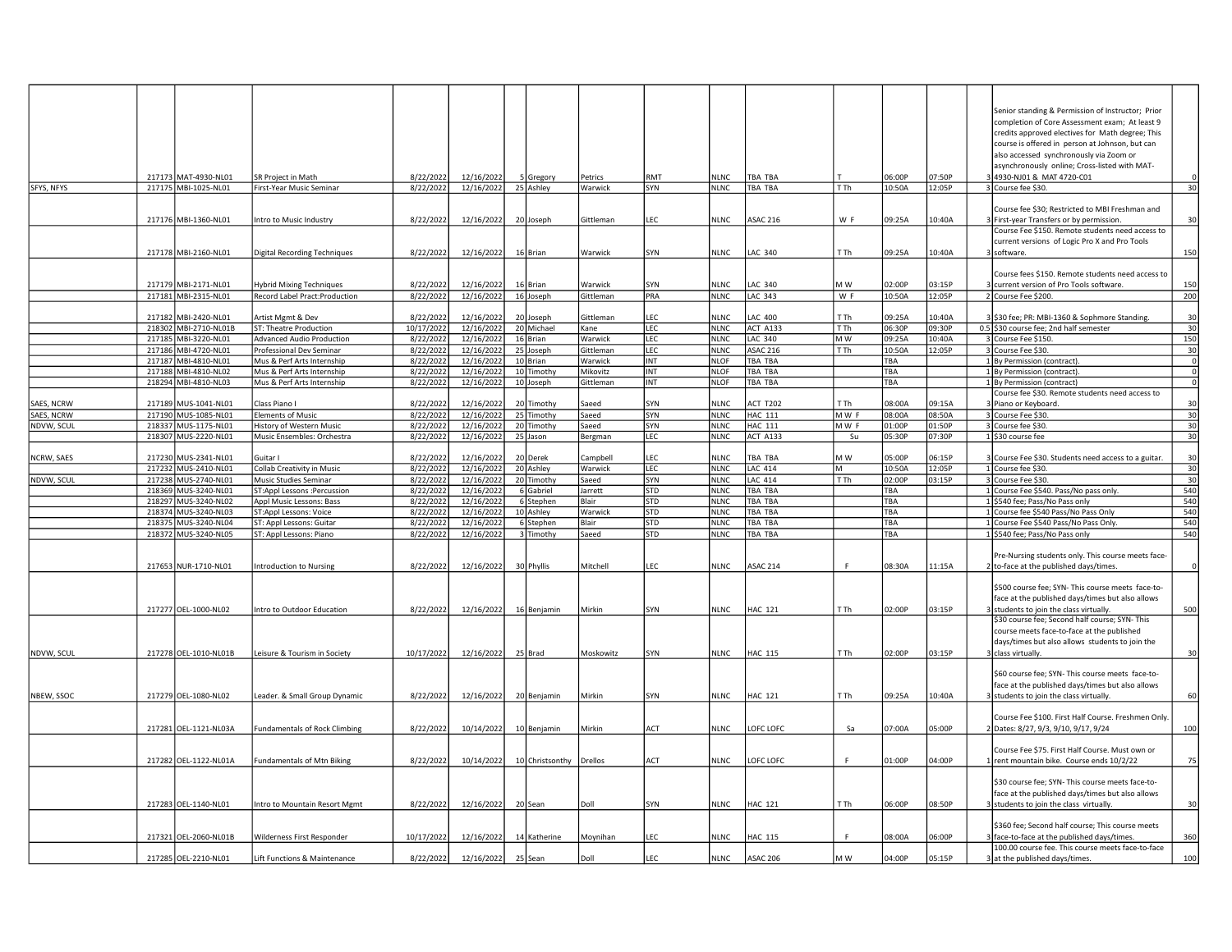|            | 217173 MAT-4930-NL01                         | SR Project in Math                                       | 8/22/2022              | 12/16/2022               | 5 Gregory               | Petrics               | RMT                      | NINC.                      | <b>TBA TBA</b>                   |                 | 06:00P     | 07:50P | Senior standing & Permission of Instructor; Prior<br>completion of Core Assessment exam; At least 9<br>credits approved electives for Math degree; This<br>course is offered in person at Johnson, but can<br>also accessed synchronously via Zoom or<br>asynchronously online; Cross-listed with MAT-<br>3 4930-NJ01 & MAT 4720-C01 |
|------------|----------------------------------------------|----------------------------------------------------------|------------------------|--------------------------|-------------------------|-----------------------|--------------------------|----------------------------|----------------------------------|-----------------|------------|--------|--------------------------------------------------------------------------------------------------------------------------------------------------------------------------------------------------------------------------------------------------------------------------------------------------------------------------------------|
| SFYS, NFYS | 217175 MBI-1025-NL01                         | First-Year Music Seminar                                 | 8/22/2022              |                          | 12/16/2022 25 Ashley    | Warwick               | SYN                      | <b>NLNC</b>                | <b>TBA TBA</b>                   | TTh             | 10:50A     | 12:05P | 30<br>3 Course fee \$30.                                                                                                                                                                                                                                                                                                             |
|            | 217176 MBI-1360-NL01                         | ntro to Music Industry                                   | 8/22/2022              | 12/16/2022               | 20 Joseph               | Gittleman             | EC.                      | <b>NLNC</b>                | <b>ASAC 216</b>                  | W F             | 09:25A     | 10:40A | Course fee \$30; Restricted to MBI Freshman and<br>30<br>3 First-year Transfers or by permission.                                                                                                                                                                                                                                    |
|            | 217178 MBI-2160-NL01                         | Digital Recording Techniques                             | 8/22/2022              | 12/16/2022               | 16 Brian                | Warwick               | SYN                      | <b>NLNC</b>                | LAC 340                          | T Th            | 09:25A     | 10:40A | Course Fee \$150. Remote students need access to<br>current versions of Logic Pro X and Pro Tools<br>150<br>3 software.                                                                                                                                                                                                              |
|            | 217179 MBI-2171-NL01                         | lybrid Mixing Techniques                                 | 8/22/2022              | 12/16/2022               | 16 Brian                | Warwick               | 5YN                      | <b>NLNC</b>                | LAC 340                          | M W             | 02:00P     | 03:15P | Course fees \$150. Remote students need access to<br>150<br>3 current version of Pro Tools software.                                                                                                                                                                                                                                 |
|            | 217181 MBI-2315-NL01                         | Record Label Pract:Production                            | 8/22/2022              | 12/16/2022               | 16 Joseph               | Gittleman             | PRA                      | <b>NLNC</b>                | LAC 343                          | W F             | 10:50A     | 12:05P | 2 Course Fee \$200.<br>200                                                                                                                                                                                                                                                                                                           |
|            |                                              |                                                          |                        |                          |                         |                       |                          |                            |                                  |                 |            |        |                                                                                                                                                                                                                                                                                                                                      |
|            | 217182 MBI-2420-NL01                         | Artist Mgmt & Dev                                        | 8/22/2022              | 12/16/2022               | 20 Joseph               | Gittleman             | LEC.                     | <b>NLNC</b>                | LAC 400                          | T Th            | 09:25A     | 10:40A | 3 \$30 fee; PR: MBI-1360 & Sophmore Standing.<br>30                                                                                                                                                                                                                                                                                  |
|            | 218302 MBI-2710-NL01B                        | ST: Theatre Production                                   | 10/17/2022             | 12/16/2022               | 20 Michael              | Kane                  | LEC                      | <b>NLNC</b>                | ACT A133                         | T <sub>Th</sub> | 06:30P     | 09:30P | 0.5 \$30 course fee; 2nd half semester<br>30                                                                                                                                                                                                                                                                                         |
|            | 217185 MBI-3220-NL01                         | Advanced Audio Production                                | 8/22/2022              | 12/16/2022               | 16 Brian                | Warwick               | LEC                      | <b>NLNC</b>                | <b>LAC 340</b>                   | M W             | 09:25A     | 10:40A | 150<br>3 Course Fee \$150.                                                                                                                                                                                                                                                                                                           |
|            | 217186 MBI-4720-NL01                         | Professional Dev Seminar                                 | 8/22/2022              | 12/16/2022               | 25 Joseph               | Gittleman             | LEC                      | <b>NLNC</b>                | <b>ASAC 216</b>                  | T Th            | 10:50A     | 12:05P | 3 Course Fee \$30.<br>30                                                                                                                                                                                                                                                                                                             |
|            | 217187 MBI-4810-NL01                         | Mus & Perf Arts Internship                               | 8/22/2022              | 12/16/2022               | 10 Brian                | Warwick               | INT                      | <b>NLOF</b>                | <b>TBA TBA</b>                   |                 | TBA        |        | 1 By Permission (contract).<br>$\Omega$                                                                                                                                                                                                                                                                                              |
|            | 217188 MBI-4810-NL02<br>218294 MBI-4810-NL03 | Mus & Perf Arts Internship<br>Mus & Perf Arts Internship | 8/22/2022<br>8/22/2022 | 12/16/2022<br>12/16/2022 | 10 Timothy<br>10 Joseph | Mikovitz<br>Gittleman | INT<br>INT               | <b>NLOF</b><br><b>NLOF</b> | <b>TBA TBA</b><br><b>TBA TBA</b> |                 | TBA<br>TBA |        | 1 By Permission (contract).<br>$\Omega$<br>1 By Permission (contract)                                                                                                                                                                                                                                                                |
|            |                                              |                                                          |                        |                          |                         |                       |                          |                            |                                  |                 |            |        | Course fee \$30. Remote students need access to                                                                                                                                                                                                                                                                                      |
| SAES, NCRW | 217189 MUS-1041-NL01                         | Class Piano I                                            | 8/22/2022              | 12/16/2022               | 20 Timothy              | Saeed                 | SYN                      | <b>NLNC</b>                | <b>ACT T202</b>                  | T Th            | 08:00A     | 09:15A | 3 Piano or Keyboard.<br>30                                                                                                                                                                                                                                                                                                           |
| SAES, NCRW | 217190 MUS-1085-NL01                         | <b>Elements of Music</b>                                 | 8/22/2022              | 12/16/2022               | 25 Timothy              | Saeed                 | SYN                      | <b>NLNC</b>                | <b>HAC 111</b>                   | MWF             | 08:00A     | 08:50A | 30<br>3 Course Fee \$30.                                                                                                                                                                                                                                                                                                             |
| NDVW, SCUL | 218337 MUS-1175-NL01                         | History of Western Music                                 | 8/22/2022              | 12/16/2022               | 20 Timothy              | Saeed                 | SYN                      | <b>NLNC</b>                | <b>HAC 111</b>                   | MW F            | 01:00P     | 01:50P | 30<br>3 Course fee \$30.                                                                                                                                                                                                                                                                                                             |
|            | 218307 MUS-2220-NL01                         | Music Ensembles: Orchestra                               | 8/22/2022              | 12/16/2022               | 25 Jason                | Bergman               | LEC                      | <b>NLNC</b>                | ACT A133                         | Su              | 05:30P     | 07:30P | 30<br>1 \$30 course fee                                                                                                                                                                                                                                                                                                              |
|            |                                              |                                                          |                        |                          |                         |                       |                          |                            |                                  |                 |            |        |                                                                                                                                                                                                                                                                                                                                      |
| NCRW, SAES | 217230 MUS-2341-NL01                         | Guitar I                                                 | 8/22/2022              | 12/16/2022               | 20 Derek                | Campbell              | FC.                      | <b>NLNC</b>                | <b>TBA TBA</b>                   | M W             | 05:00P     | 06:15P | 3 Course Fee \$30. Students need access to a guitar.<br>30                                                                                                                                                                                                                                                                           |
|            | 217232 MUS-2410-NL01                         | Collab Creativity in Music                               | 8/22/2022              | 12/16/2022               | 20 Ashley               | Warwick               | LEC                      | <b>NLNC</b>                | <b>LAC 414</b>                   |                 | 10:50A     | 12:05P | 1 Course fee \$30.<br>30                                                                                                                                                                                                                                                                                                             |
| NDVW, SCUL | 217238 MUS-2740-NL01                         | Music Studies Seminar                                    | 8/22/2022              | 12/16/2022               | 20 Timothy              | Saeed                 | SYN                      | <b>NLNC</b>                | <b>LAC 414</b>                   | T Th            | 02:00P     | 03:15P | 3 Course Fee \$30.<br>30                                                                                                                                                                                                                                                                                                             |
|            | 218369 MUS-3240-NL01                         | ST:Appl Lessons :Percussion                              | 8/22/2022              | 12/16/2022               | 6 Gabriel               | Jarrett               | <b>STD</b>               | <b>NLNC</b>                | TBA TBA                          |                 | TBA        |        | 1 Course Fee \$540. Pass/No pass only.<br>540                                                                                                                                                                                                                                                                                        |
|            | 218297 MUS-3240-NL02                         | Appl Music Lessons: Bass                                 | 8/22/2022              | 12/16/2022               | 6 Stephen               | Blair                 | STD                      | <b>NLNC</b>                | TBA TBA                          |                 | TBA        |        | 540<br>1 \$540 fee; Pass/No Pass only                                                                                                                                                                                                                                                                                                |
|            | 218374 MUS-3240-NL03<br>218375 MUS-3240-NL04 | ST:Appl Lessons: Voice<br>ST: Appl Lessons: Guitar       | 8/22/2022<br>8/22/2022 | 12/16/2022<br>12/16/2022 | 10 Ashley<br>6 Stephen  | Warwick<br>Blair      | <b>STD</b><br><b>STD</b> | <b>NLNC</b><br><b>NLNC</b> | TBA TBA<br>TBA TBA               |                 | TBA<br>TBA |        | 540<br>1 Course fee \$540 Pass/No Pass Only<br>540<br>1 Course Fee \$540 Pass/No Pass Only.                                                                                                                                                                                                                                          |
|            | 218372 MUS-3240-NL05                         | ST: Appl Lessons: Piano                                  | 8/22/2022              | 12/16/2022               | 3 Timothy               | Saeed                 | <b>STD</b>               | <b>NLNC</b>                | TBA TBA                          |                 | TBA        |        | 1 \$540 fee; Pass/No Pass only<br>540                                                                                                                                                                                                                                                                                                |
|            |                                              |                                                          |                        |                          |                         |                       |                          |                            |                                  |                 |            |        |                                                                                                                                                                                                                                                                                                                                      |
|            | 217653 NUR-1710-NL01                         | ntroduction to Nursing                                   | 8/22/2022              | 12/16/2022               | 30 Phyllis              | Mitchell              | EC                       | <b>NLNC</b>                | ASAC 214                         | F               | 08:30A     | 11:15A | Pre-Nursing students only. This course meets face-<br>2 to-face at the published days/times.                                                                                                                                                                                                                                         |
|            | 217277 OEL-1000-NL02                         | Intro to Outdoor Education                               | 8/22/2022              |                          | 12/16/2022 16 Benjamin  | Mirkin                | SYN                      | <b>NLNC</b>                | <b>HAC 121</b>                   | T Th            | 02:00P     | 03:15P | \$500 course fee; SYN- This course meets face-to-<br>face at the published days/times but also allows<br>500<br>3 students to join the class virtually.                                                                                                                                                                              |
| NDVW, SCUL | 217278 OEL-1010-NL01B                        | Leisure & Tourism in Society                             | 10/17/2022             | 12/16/2022 25 Brad       |                         | Moskowitz             | SYN                      | <b>NLNC</b>                | <b>HAC 115</b>                   | T Th            | 02:00P     | 03:15P | \$30 course fee; Second half course; SYN- This<br>course meets face-to-face at the published<br>days/times but also allows students to join the<br>30<br>3 class virtually.                                                                                                                                                          |
|            |                                              |                                                          |                        |                          |                         |                       |                          |                            |                                  |                 |            |        | \$60 course fee; SYN- This course meets face-to-<br>face at the published days/times but also allows                                                                                                                                                                                                                                 |
| NBEW, SSOC | 217279 OEL-1080-NL02                         | eader. & Small Group Dynamic                             | 8/22/2022              | 12/16/2022               | 20 Benjamin             | Mirkin                | SYN                      | <b>NLNC</b>                | <b>HAC 121</b>                   | T Th            | 09:25A     | 10:40A | 60<br>3 students to join the class virtually.                                                                                                                                                                                                                                                                                        |
|            |                                              |                                                          |                        |                          |                         |                       |                          |                            |                                  |                 |            |        | Course Fee \$100. First Half Course. Freshmen Only.                                                                                                                                                                                                                                                                                  |
|            | 217281 OEL-1121-NL03A                        | <b>Fundamentals of Rock Climbing</b>                     | 8/22/2022              | 10/14/2022               | 10 Benjamin             | Mirkin                | ACT                      | <b>NLNC</b>                | LOFC LOFC                        | Sa              | 07:00A     | 05:00P | 100<br>2 Dates: 8/27, 9/3, 9/10, 9/17, 9/24                                                                                                                                                                                                                                                                                          |
|            |                                              |                                                          |                        |                          |                         |                       |                          |                            |                                  |                 |            |        |                                                                                                                                                                                                                                                                                                                                      |
|            | 217282 OEL-1122-NL01A                        | <b>Fundamentals of Mtn Biking</b>                        | 8/22/2022              | 10/14/2022               | 10 Christsonthy         | Drellos               | ACT                      | <b>NLNC</b>                | LOFC LOFC                        | F               | 01:00P     | 04:00P | Course Fee \$75. First Half Course. Must own or<br>75<br>1 rent mountain bike. Course ends 10/2/22                                                                                                                                                                                                                                   |
|            | 217283 OEL-1140-NL01                         | Intro to Mountain Resort Mgmt                            | 8/22/2022              | 12/16/2022               | 20 Sean                 | Doll                  | SYN                      | <b>NLNC</b>                | <b>HAC 121</b>                   | T Th            | 06:00P     | 08:50P | \$30 course fee; SYN- This course meets face-to-<br>face at the published days/times but also allows<br>30<br>3 students to join the class virtually.                                                                                                                                                                                |
|            | 217321 OEL-2060-NL01B                        | Wilderness First Responder                               | 10/17/2022             | 12/16/2022               | 14 Katherine            | Moynihan              | FC.                      | <b>NLNC</b>                | <b>HAC 115</b>                   |                 | 08:00A     | 06:00P | \$360 fee; Second half course; This course meets<br>360<br>face-to-face at the published days/times.<br>100.00 course fee. This course meets face-to-face                                                                                                                                                                            |
|            | 217285 OEL-2210-NL01                         | ift Functions & Maintenance                              | 8/22/2022              | 12/16/2022               | 25 Sean                 | Doll                  | EC.                      | <b>NLNC</b>                | <b>ASAC 206</b>                  | M W             | 04:00P     | 05:15P | 3 at the published days/times.<br>100                                                                                                                                                                                                                                                                                                |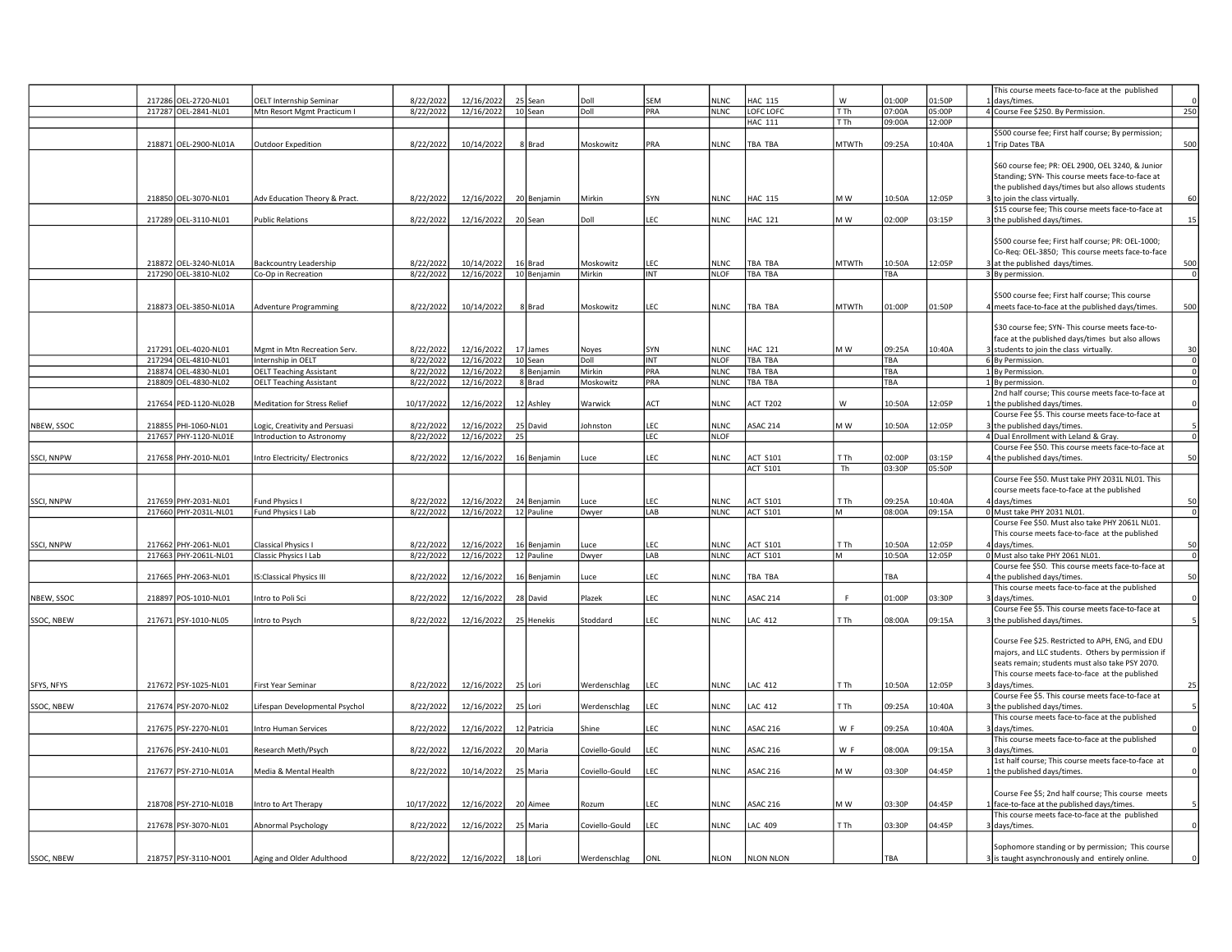|            |                                               |                                 |                        |                          |                |                |            |                            |                                    |                         |                  |                  | This course meets face-to-face at the published                                                    |                         |
|------------|-----------------------------------------------|---------------------------------|------------------------|--------------------------|----------------|----------------|------------|----------------------------|------------------------------------|-------------------------|------------------|------------------|----------------------------------------------------------------------------------------------------|-------------------------|
|            | 217286 OEL-2720-NL01                          | <b>OELT Internship Seminar</b>  | 8/22/2022              | 12/16/2022               | 25 Sean        | Doll           | SEM        | <b>NLNC</b>                | <b>HAC 115</b>                     | W                       | 01:00P           | 01:50P           | days/times.                                                                                        |                         |
|            | 217287 OEL-2841-NL01                          | Mtn Resort Mgmt Practicum I     | 8/22/2022              | 12/16/2022               | 10 Sean        | Doll           | PRA        | <b>NLNC</b>                | <b>LOFC LOFC</b><br><b>HAC 111</b> | T <sub>Th</sub><br>T Th | 07:00A<br>09:00A | 05:00P<br>12:00P | 4 Course Fee \$250. By Permission.                                                                 | 250                     |
|            |                                               |                                 |                        |                          |                |                |            |                            |                                    |                         |                  |                  | \$500 course fee; First half course; By permission;                                                |                         |
|            | 218871 OEL-2900-NL01A                         | Outdoor Expedition              | 8/22/2022              | 10/14/2022               | 8 Brad         | Moskowitz      | PRA        | <b>NLNC</b>                | TBA TBA                            | <b>MTWTh</b>            | 09:25A           | 10:40A           | Trip Dates TBA                                                                                     | 500                     |
|            |                                               |                                 |                        |                          |                |                |            |                            |                                    |                         |                  |                  |                                                                                                    |                         |
|            |                                               |                                 |                        |                          |                |                |            |                            |                                    |                         |                  |                  | \$60 course fee; PR: OEL 2900, OEL 3240, & Junior                                                  |                         |
|            |                                               |                                 |                        |                          |                |                |            |                            |                                    |                         |                  |                  | Standing; SYN- This course meets face-to-face at                                                   |                         |
|            | 218850 OEL-3070-NL01                          |                                 |                        | 12/16/2022               |                | Mirkin         |            | <b>NLNC</b>                | <b>HAC 115</b>                     | M W                     | 10:50A           |                  | the published days/times but also allows students                                                  | 60                      |
|            |                                               | Adv Education Theory & Pract.   | 8/22/2022              |                          | 20 Benjamin    |                | SYN        |                            |                                    |                         |                  | 12:05P           | 3 to join the class virtually.<br>\$15 course fee; This course meets face-to-face at               |                         |
|            | 217289 OEL-3110-NL01                          | <b>Public Relations</b>         | 8/22/2022              | 12/16/2022               | 20 Sean        | Doll           | LEC        | <b>NLNC</b>                | <b>HAC 121</b>                     | M W                     | 02:00P           | 03:15P           | the published days/times.                                                                          | 15                      |
|            |                                               |                                 |                        |                          |                |                |            |                            |                                    |                         |                  |                  |                                                                                                    |                         |
|            |                                               |                                 |                        |                          |                |                |            |                            |                                    |                         |                  |                  | \$500 course fee; First half course; PR: OEL-1000;                                                 |                         |
|            |                                               |                                 |                        |                          |                |                |            |                            |                                    |                         |                  |                  | Co-Reg: OEL-3850; This course meets face-to-face                                                   |                         |
|            | 218872 OEL-3240-NL01A                         | Backcountry Leadership          | 8/22/2022              | 10/14/2022               | 16 Brad        | Moskowitz      | LEC.       | <b>NLNC</b>                | <b>TBA TBA</b>                     | <b>MTWTh</b>            | 10:50A           | 12:05P           | at the published days/times.                                                                       | 500                     |
|            | 217290 OEL-3810-NL02                          | Co-Op in Recreation             | 8/22/2022              | 12/16/2022               | 10 Benjamin    | Mirkin         | <b>INT</b> | <b>NLOF</b>                | TBA TBA                            |                         | TBA              |                  | 3 By permission.                                                                                   | $\overline{0}$          |
|            |                                               |                                 |                        |                          |                |                |            |                            |                                    |                         |                  |                  |                                                                                                    |                         |
|            |                                               |                                 |                        |                          |                |                |            |                            |                                    |                         |                  |                  | \$500 course fee; First half course; This course                                                   |                         |
|            | 218873 OEL-3850-NL01A                         | Adventure Programming           | 8/22/2022              | 10/14/2022               | 8 Brad         | Moskowitz      | EC.        | <b>NLNC</b>                | TBA TBA                            | <b>MTWTh</b>            | 01:00P           | 01:50P           | meets face-to-face at the published days/times.                                                    | 500                     |
|            |                                               |                                 |                        |                          |                |                |            |                            |                                    |                         |                  |                  | \$30 course fee; SYN- This course meets face-to-                                                   |                         |
|            |                                               |                                 |                        |                          |                |                |            |                            |                                    |                         |                  |                  | face at the published days/times but also allows                                                   |                         |
|            | 217291 OEL-4020-NL01                          | Mgmt in Mtn Recreation Serv.    | 8/22/2022              | 12/16/2022               | 17 James       | Noyes          | SYN        | <b>NLNC</b>                | <b>HAC 121</b>                     | M W                     | 09:25A           | 10:40A           | 3 students to join the class virtually.                                                            | 30                      |
|            | 217294 OEL-4810-NL01                          | Internship in OELT              | 8/22/2022              | 12/16/2022               | 10 Sean        | Doll           | <b>INT</b> | <b>NLOF</b>                | <b>TBA TBA</b>                     |                         | TBA              |                  | 6 By Permission.                                                                                   | $\overline{\mathbf{0}}$ |
|            | 218874 OEL-4830-NL01                          | <b>OELT Teaching Assistant</b>  | 8/22/2022              | 12/16/2022               | 8 Benjamin     | Mirkin         | PRA        | <b>NLNC</b>                | TBA TBA                            |                         | TBA              |                  | 1 By Permission.                                                                                   | $\overline{0}$          |
|            | 218809 OEL-4830-NL02                          | <b>OELT Teaching Assistant</b>  | 8/22/2022              | 12/16/2022               | 8 Brad         | Moskowitz      | PRA        | <b>NLNC</b>                | TBA TBA                            |                         | TBA              |                  | 1 By permission                                                                                    | $\mathbf 0$             |
|            |                                               |                                 |                        |                          |                |                |            |                            |                                    |                         |                  |                  | 2nd half course; This course meets face-to-face at                                                 |                         |
|            | 217654 PED-1120-NL02B                         | Meditation for Stress Relief    | 10/17/2022             | 12/16/2022               | 12 Ashley      | Warwick        | ACT        | <b>NLNC</b>                | <b>ACT T202</b>                    | W                       | 10:50A           | 12:05P           | 1 the published days/times.                                                                        |                         |
|            |                                               |                                 |                        |                          |                |                |            |                            |                                    |                         |                  |                  | Course Fee \$5. This course meets face-to-face at                                                  |                         |
| NBEW, SSOC | 218855 PHI-1060-NL01                          | Logic, Creativity and Persuasi  | 8/22/2022<br>8/22/2022 | 12/16/2022               | 25 David<br>25 | Johnston       | LEC        | <b>NLNC</b><br><b>NLOF</b> | <b>ASAC 214</b>                    | M W                     | 10:50A           | 12:05P           | 3 the published days/times.                                                                        | $\overline{0}$          |
|            | 217657 PHY-1120-NL01E                         | Introduction to Astronomy       |                        | 12/16/2022               |                |                | LEC        |                            |                                    |                         |                  |                  | 4 Dual Enrollment with Leland & Gray.<br>Course Fee \$50. This course meets face-to-face at        |                         |
| SSCI, NNPW | 217658 PHY-2010-NL01                          | ntro Electricity/ Electronics   | 8/22/2022              | 12/16/2022               | 16 Benjamin    | Luce           | LEC        | <b>NLNC</b>                | <b>ACT S101</b>                    | T Th                    | 02:00P           | 03:15P           | the published days/times.                                                                          | 50                      |
|            |                                               |                                 |                        |                          |                |                |            |                            | <b>ACT S101</b>                    | Th                      | 03:30P           | 05:50P           |                                                                                                    |                         |
|            |                                               |                                 |                        |                          |                |                |            |                            |                                    |                         |                  |                  | Course Fee \$50. Must take PHY 2031L NL01. This                                                    |                         |
|            |                                               |                                 |                        |                          |                |                |            |                            |                                    |                         |                  |                  | course meets face-to-face at the published                                                         |                         |
| SSCI, NNPW | 217659 PHY-2031-NL01                          | und Physics I                   | 8/22/2022              | 12/16/2022               | 24 Benjamin    | Luce           | EC.        | <b>NLNC</b>                | <b>ACT S101</b>                    | T Th                    | 09:25A           | 10:40A           | days/times                                                                                         | 50                      |
|            | 217660 PHY-2031L-NL01                         | Fund Physics I Lab              | 8/22/2022              | 12/16/2022               | 12 Pauline     | Dwyer          | LAB        | <b>NLNC</b>                | <b>ACT S101</b>                    | lм                      | A00:80           | 09:15A           | 0 Must take PHY 2031 NL01.                                                                         | $\mathbf 0$             |
|            |                                               |                                 |                        |                          |                |                |            |                            |                                    |                         |                  |                  | Course Fee \$50. Must also take PHY 2061L NL01.                                                    |                         |
|            |                                               |                                 |                        |                          |                |                |            |                            |                                    |                         |                  |                  | This course meets face-to-face at the published                                                    |                         |
| SSCI, NNPW | 217662 PHY-2061-NL01<br>217663 PHY-2061L-NL01 | Classical Physics I             | 8/22/2022<br>8/22/2022 | 12/16/2022<br>12/16/2022 | 16 Benjamin    | <b>Luce</b>    | EC.        | <b>NLNC</b>                | <b>ACT S101</b>                    | T Th                    | 10:50A<br>10:50A | 12:05P<br>12:05P | 4 days/times.<br>0 Must also take PHY 2061 NL01.                                                   | 50<br>$\overline{0}$    |
|            |                                               | Classic Physics I Lab           |                        |                          | 12 Pauline     | Dwyer          | LAB        | <b>NLNC</b>                | <b>ACT S101</b>                    | M                       |                  |                  | Course fee \$50. This course meets face-to-face at                                                 |                         |
|            | 217665 PHY-2063-NL01                          | <b>IS:Classical Physics III</b> | 8/22/2022              | 12/16/2022               | 16 Benjamin    | Luce           | EC.        | <b>NLNC</b>                | TBA TBA                            |                         | TRA              |                  | the published days/times.                                                                          | 50                      |
|            |                                               |                                 |                        |                          |                |                |            |                            |                                    |                         |                  |                  | This course meets face-to-face at the published                                                    |                         |
| NBEW, SSOC | 218897 POS-1010-NL01                          | Intro to Poli Sci               | 8/22/2022              | 12/16/2022               | 28 David       | Plazek         | LEC        | <b>NLNC</b>                | <b>ASAC 214</b>                    |                         | 01:00P           | 03:30P           | days/times.                                                                                        |                         |
|            |                                               |                                 |                        |                          |                |                |            |                            |                                    |                         |                  |                  | Course Fee \$5. This course meets face-to-face at                                                  |                         |
| SSOC, NBEW | 217671 PSY-1010-NL05                          | Intro to Psych                  | 8/22/2022              | 12/16/2022               | 25 Henekis     | Stoddard       | LEC        | <b>NLNC</b>                | LAC 412                            | T Th                    | 08:00A           | 09:15A           | the published days/times.                                                                          |                         |
|            |                                               |                                 |                        |                          |                |                |            |                            |                                    |                         |                  |                  |                                                                                                    |                         |
|            |                                               |                                 |                        |                          |                |                |            |                            |                                    |                         |                  |                  | Course Fee \$25. Restricted to APH, ENG, and EDU                                                   |                         |
|            |                                               |                                 |                        |                          |                |                |            |                            |                                    |                         |                  |                  | majors, and LLC students. Others by permission if                                                  |                         |
|            |                                               |                                 |                        |                          |                |                |            |                            |                                    |                         |                  |                  | seats remain; students must also take PSY 2070.<br>This course meets face-to-face at the published |                         |
| SFYS, NFYS | 217672 PSY-1025-NL01                          | First Year Seminar              | 8/22/2022              | 12/16/2022               | 25 Lori        | Werdenschlag   | LEC        | <b>NLNC</b>                | LAC 412                            | T Th                    | 10:50A           | 12:05P           | 3 I davs/times                                                                                     | 25                      |
|            |                                               |                                 |                        |                          |                |                |            |                            |                                    |                         |                  |                  | Course Fee \$5. This course meets face-to-face at                                                  |                         |
| SSOC, NBEW | 217674 PSY-2070-NL02                          | Lifespan Developmental Psychol  | 8/22/2022              | 12/16/2022               | 25 Lori        | Werdenschlag   | LEC        | <b>NLNC</b>                | LAC 412                            | T Th                    | 09:25A           | 10:40A           | the published days/times.                                                                          |                         |
|            |                                               |                                 |                        |                          |                |                |            |                            |                                    |                         |                  |                  | This course meets face-to-face at the published                                                    |                         |
|            | 217675 PSY-2270-NL01                          | Intro Human Services            | 8/22/2022              | 12/16/2022               | 12 Patricia    | Shine          | LEC        | <b>NLNC</b>                | <b>ASAC 216</b>                    | W F                     | 09:25A           | 10:40A           | days/times.                                                                                        |                         |
|            |                                               |                                 |                        |                          |                |                |            |                            |                                    |                         |                  |                  | This course meets face-to-face at the published                                                    |                         |
|            | 217676 PSY-2410-NL01                          | Research Meth/Psych             | 8/22/2022              | 12/16/2022               | 20 Maria       | Coviello-Gould | LEC        | <b>NLNC</b>                | <b>ASAC 216</b>                    | W F                     | 08:00A           | 09:15A           | days/times                                                                                         | $\Omega$                |
|            |                                               |                                 |                        |                          |                |                |            |                            |                                    |                         |                  |                  | 1st half course; This course meets face-to-face at                                                 |                         |
|            | 217677 PSY-2710-NL01A                         | Media & Mental Health           | 8/22/2022              | 10/14/2022               | 25 Maria       | Coviello-Gould | LEC        | <b>NLNC</b>                | <b>ASAC 216</b>                    | MW                      | 03:30P           | 04:45P           | the published days/times.                                                                          | $\Omega$                |
|            |                                               |                                 |                        |                          |                |                |            |                            |                                    |                         |                  |                  | Course Fee \$5; 2nd half course; This course meets                                                 |                         |
|            | 218708 PSY-2710-NL01B                         | Intro to Art Therapy            | 10/17/2022             | 12/16/2022               | 20 Aimee       | Rozum          | EC         | <b>NLNC</b>                | <b>ASAC 216</b>                    | M W                     | 03:30P           | 04:45P           | face-to-face at the published days/times.                                                          |                         |
|            |                                               |                                 |                        |                          |                |                |            |                            |                                    |                         |                  |                  | This course meets face-to-face at the published                                                    |                         |
|            | 217678 PSY-3070-NL01                          | Abnormal Psychology             | 8/22/2022              | 12/16/2022               | 25 Maria       | Coviello-Gould | EC         | <b>NLNC</b>                | LAC 409                            | T Th                    | 03:30P           | 04:45P           | days/times.                                                                                        |                         |
|            |                                               |                                 |                        |                          |                |                |            |                            |                                    |                         |                  |                  |                                                                                                    |                         |
|            |                                               |                                 |                        |                          |                |                |            |                            |                                    |                         |                  |                  | Sophomore standing or by permission; This course                                                   |                         |
| SSOC, NBEW | 218757 PSY-3110-NO01                          | Aging and Older Adulthood       | 8/22/2022              | 12/16/2022               | 18 Lori        | Werdenschlag   | ONL        | <b>NLON</b>                | NLON NLON                          |                         | TBA              |                  | 3 is taught asynchronously and entirely online.                                                    |                         |